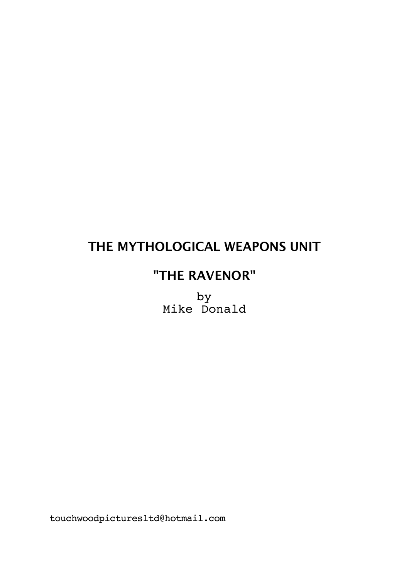# **THE MYTHOLOGICAL WEAPONS UNIT**

# **"THE RAVENOR"**

by Mike Donald

touchwoodpicturesltd@hotmail.com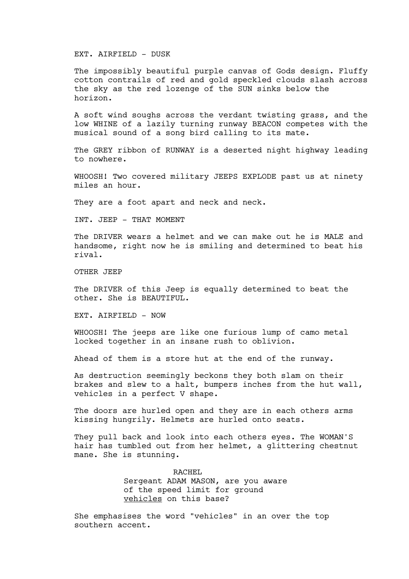#### EXT. AIRFIELD - DUSK

The impossibly beautiful purple canvas of Gods design. Fluffy cotton contrails of red and gold speckled clouds slash across the sky as the red lozenge of the SUN sinks below the horizon.

A soft wind soughs across the verdant twisting grass, and the low WHINE of a lazily turning runway BEACON competes with the musical sound of a song bird calling to its mate.

The GREY ribbon of RUNWAY is a deserted night highway leading to nowhere.

WHOOSH! Two covered military JEEPS EXPLODE past us at ninety miles an hour.

They are a foot apart and neck and neck.

INT. JEEP - THAT MOMENT

The DRIVER wears a helmet and we can make out he is MALE and handsome, right now he is smiling and determined to beat his rival.

OTHER JEEP

The DRIVER of this Jeep is equally determined to beat the other. She is BEAUTIFUL.

EXT. AIRFIELD - NOW

WHOOSH! The jeeps are like one furious lump of camo metal locked together in an insane rush to oblivion.

Ahead of them is a store hut at the end of the runway.

As destruction seemingly beckons they both slam on their brakes and slew to a halt, bumpers inches from the hut wall, vehicles in a perfect V shape.

The doors are hurled open and they are in each others arms kissing hungrily. Helmets are hurled onto seats.

They pull back and look into each others eyes. The WOMAN'S hair has tumbled out from her helmet, a glittering chestnut mane. She is stunning.

> RACHEL Sergeant ADAM MASON, are you aware of the speed limit for ground vehicles on this base?

She emphasises the word "vehicles" in an over the top southern accent.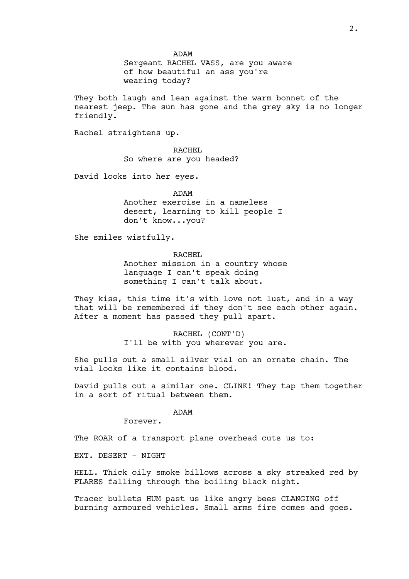ADAM Sergeant RACHEL VASS, are you aware of how beautiful an ass you're wearing today?

They both laugh and lean against the warm bonnet of the nearest jeep. The sun has gone and the grey sky is no longer friendly.

Rachel straightens up.

RACHEL So where are you headed?

David looks into her eyes.

ADAM

Another exercise in a nameless desert, learning to kill people I don't know...you?

She smiles wistfully.

RACHEL Another mission in a country whose language I can't speak doing something I can't talk about.

They kiss, this time it's with love not lust, and in a way that will be remembered if they don't see each other again. After a moment has passed they pull apart.

> RACHEL (CONT'D) I'll be with you wherever you are.

She pulls out a small silver vial on an ornate chain. The vial looks like it contains blood.

David pulls out a similar one. CLINK! They tap them together in a sort of ritual between them.

ADAM

Forever.

The ROAR of a transport plane overhead cuts us to:

EXT. DESERT - NIGHT

HELL. Thick oily smoke billows across a sky streaked red by FLARES falling through the boiling black night.

Tracer bullets HUM past us like angry bees CLANGING off burning armoured vehicles. Small arms fire comes and goes.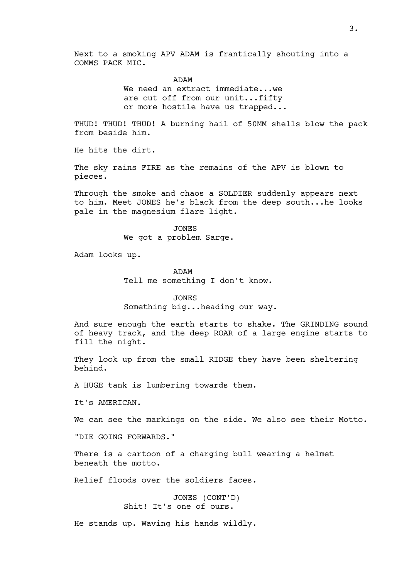Next to a smoking APV ADAM is frantically shouting into a COMMS PACK MIC.

> ADAM We need an extract immediate... we are cut off from our unit...fifty or more hostile have us trapped...

THUD! THUD! THUD! A burning hail of 50MM shells blow the pack from beside him.

He hits the dirt.

The sky rains FIRE as the remains of the APV is blown to pieces.

Through the smoke and chaos a SOLDIER suddenly appears next to him. Meet JONES he's black from the deep south...he looks pale in the magnesium flare light.

> JONES We got a problem Sarge.

Adam looks up.

ADAM Tell me something I don't know.

JONES Something big...heading our way.

And sure enough the earth starts to shake. The GRINDING sound of heavy track, and the deep ROAR of a large engine starts to fill the night.

They look up from the small RIDGE they have been sheltering behind.

A HUGE tank is lumbering towards them.

It's AMERICAN.

We can see the markings on the side. We also see their Motto.

"DIE GOING FORWARDS."

There is a cartoon of a charging bull wearing a helmet beneath the motto.

Relief floods over the soldiers faces.

JONES (CONT'D) Shit! It's one of ours.

He stands up. Waving his hands wildly.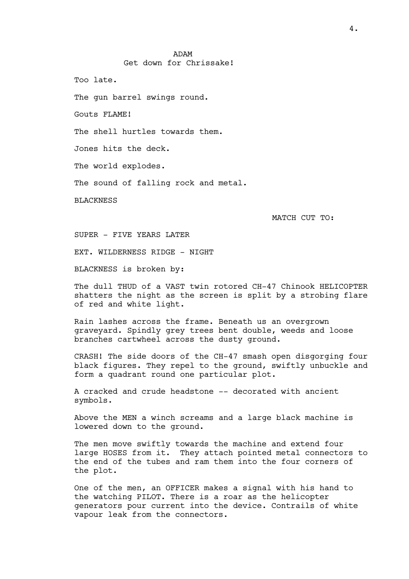ADAM Get down for Chrissake!

Too late.

The gun barrel swings round.

Gouts FLAME!

The shell hurtles towards them.

Jones hits the deck.

The world explodes.

The sound of falling rock and metal.

**BLACKNESS** 

MATCH CUT TO:

SUPER - FIVE YEARS LATER

EXT. WILDERNESS RIDGE - NIGHT

BLACKNESS is broken by:

The dull THUD of a VAST twin rotored CH-47 Chinook HELICOPTER shatters the night as the screen is split by a strobing flare of red and white light.

Rain lashes across the frame. Beneath us an overgrown graveyard. Spindly grey trees bent double, weeds and loose branches cartwheel across the dusty ground.

CRASH! The side doors of the CH-47 smash open disgorging four black figures. They repel to the ground, swiftly unbuckle and form a quadrant round one particular plot.

A cracked and crude headstone -- decorated with ancient symbols.

Above the MEN a winch screams and a large black machine is lowered down to the ground.

The men move swiftly towards the machine and extend four large HOSES from it. They attach pointed metal connectors to the end of the tubes and ram them into the four corners of the plot.

One of the men, an OFFICER makes a signal with his hand to the watching PILOT. There is a roar as the helicopter generators pour current into the device. Contrails of white vapour leak from the connectors.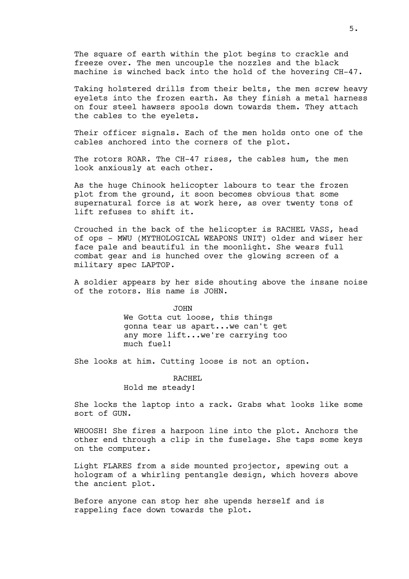The square of earth within the plot begins to crackle and freeze over. The men uncouple the nozzles and the black machine is winched back into the hold of the hovering CH-47.

Taking holstered drills from their belts, the men screw heavy eyelets into the frozen earth. As they finish a metal harness on four steel hawsers spools down towards them. They attach the cables to the eyelets.

Their officer signals. Each of the men holds onto one of the cables anchored into the corners of the plot.

The rotors ROAR. The CH-47 rises, the cables hum, the men look anxiously at each other.

As the huge Chinook helicopter labours to tear the frozen plot from the ground, it soon becomes obvious that some supernatural force is at work here, as over twenty tons of lift refuses to shift it.

Crouched in the back of the helicopter is RACHEL VASS, head of ops - MWU (MYTHOLOGICAL WEAPONS UNIT) older and wiser her face pale and beautiful in the moonlight. She wears full combat gear and is hunched over the glowing screen of a military spec LAPTOP.

A soldier appears by her side shouting above the insane noise of the rotors. His name is JOHN.

> JOHN We Gotta cut loose, this things gonna tear us apart...we can't get any more lift...we're carrying too much fuel!

She looks at him. Cutting loose is not an option.

RACHEL Hold me steady!

She locks the laptop into a rack. Grabs what looks like some sort of GUN.

WHOOSH! She fires a harpoon line into the plot. Anchors the other end through a clip in the fuselage. She taps some keys on the computer.

Light FLARES from a side mounted projector, spewing out a hologram of a whirling pentangle design, which hovers above the ancient plot.

Before anyone can stop her she upends herself and is rappeling face down towards the plot.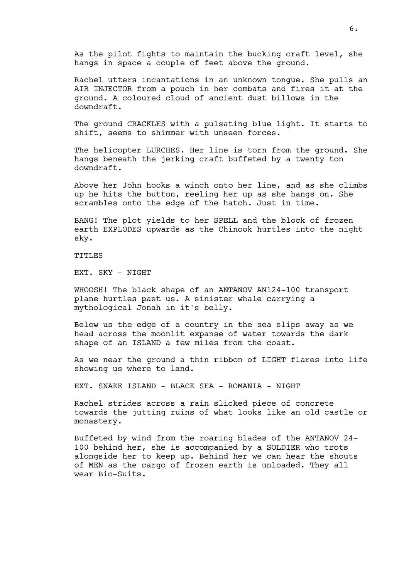As the pilot fights to maintain the bucking craft level, she hangs in space a couple of feet above the ground.

Rachel utters incantations in an unknown tongue. She pulls an AIR INJECTOR from a pouch in her combats and fires it at the ground. A coloured cloud of ancient dust billows in the downdraft.

The ground CRACKLES with a pulsating blue light. It starts to shift, seems to shimmer with unseen forces.

The helicopter LURCHES. Her line is torn from the ground. She hangs beneath the jerking craft buffeted by a twenty ton downdraft.

Above her John hooks a winch onto her line, and as she climbs up he hits the button, reeling her up as she hangs on. She scrambles onto the edge of the hatch. Just in time.

BANG! The plot yields to her SPELL and the block of frozen earth EXPLODES upwards as the Chinook hurtles into the night sky.

TITLES

EXT. SKY - NIGHT

WHOOSH! The black shape of an ANTANOV AN124-100 transport plane hurtles past us. A sinister whale carrying a mythological Jonah in it's belly.

Below us the edge of a country in the sea slips away as we head across the moonlit expanse of water towards the dark shape of an ISLAND a few miles from the coast.

As we near the ground a thin ribbon of LIGHT flares into life showing us where to land.

EXT. SNAKE ISLAND - BLACK SEA - ROMANIA - NIGHT

Rachel strides across a rain slicked piece of concrete towards the jutting ruins of what looks like an old castle or monastery.

Buffeted by wind from the roaring blades of the ANTANOV 24- 100 behind her, she is accompanied by a SOLDIER who trots alongside her to keep up. Behind her we can hear the shouts of MEN as the cargo of frozen earth is unloaded. They all wear Bio-Suits.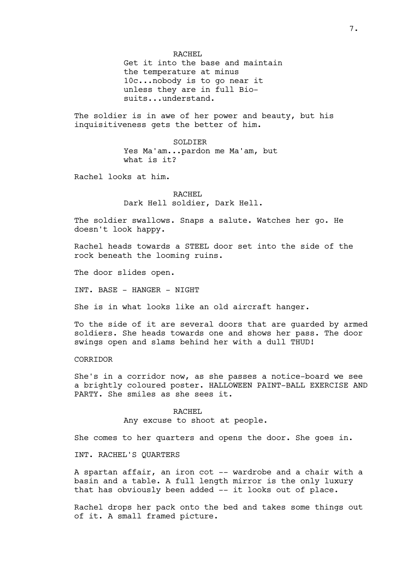RACHEL

Get it into the base and maintain the temperature at minus 10c...nobody is to go near it unless they are in full Biosuits...understand.

The soldier is in awe of her power and beauty, but his inquisitiveness gets the better of him.

> SOLDIER Yes Ma'am...pardon me Ma'am, but what is it?

Rachel looks at him.

RACHEL Dark Hell soldier, Dark Hell.

The soldier swallows. Snaps a salute. Watches her go. He doesn't look happy.

Rachel heads towards a STEEL door set into the side of the rock beneath the looming ruins.

The door slides open.

INT. BASE - HANGER - NIGHT

She is in what looks like an old aircraft hanger.

To the side of it are several doors that are guarded by armed soldiers. She heads towards one and shows her pass. The door swings open and slams behind her with a dull THUD!

## CORRIDOR

She's in a corridor now, as she passes a notice-board we see a brightly coloured poster. HALLOWEEN PAINT-BALL EXERCISE AND PARTY. She smiles as she sees it.

> RACHEL Any excuse to shoot at people.

She comes to her quarters and opens the door. She goes in.

INT. RACHEL'S QUARTERS

A spartan affair, an iron cot -- wardrobe and a chair with a basin and a table. A full length mirror is the only luxury that has obviously been added -- it looks out of place.

Rachel drops her pack onto the bed and takes some things out of it. A small framed picture.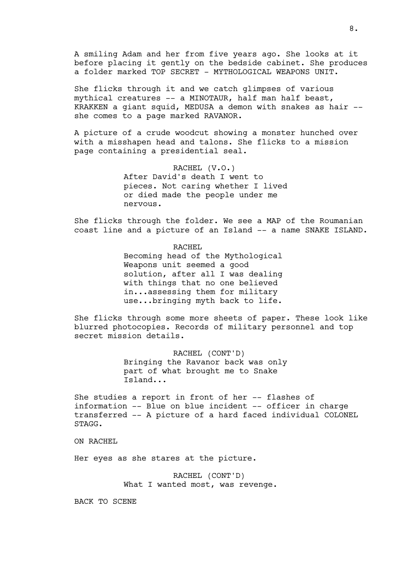A smiling Adam and her from five years ago. She looks at it before placing it gently on the bedside cabinet. She produces a folder marked TOP SECRET - MYTHOLOGICAL WEAPONS UNIT.

She flicks through it and we catch glimpses of various mythical creatures -- a MINOTAUR, half man half beast, KRAKKEN a giant squid, MEDUSA a demon with snakes as hair - she comes to a page marked RAVANOR.

A picture of a crude woodcut showing a monster hunched over with a misshapen head and talons. She flicks to a mission page containing a presidential seal.

> RACHEL (V.O.) After David's death I went to pieces. Not caring whether I lived or died made the people under me nervous.

She flicks through the folder. We see a MAP of the Roumanian coast line and a picture of an Island -- a name SNAKE ISLAND.

> RACHEL Becoming head of the Mythological Weapons unit seemed a good solution, after all I was dealing with things that no one believed in...assessing them for military use...bringing myth back to life.

She flicks through some more sheets of paper. These look like blurred photocopies. Records of military personnel and top secret mission details.

> RACHEL (CONT'D) Bringing the Ravanor back was only part of what brought me to Snake Island...

She studies a report in front of her -- flashes of information -- Blue on blue incident -- officer in charge transferred -- A picture of a hard faced individual COLONEL STAGG.

ON RACHEL

Her eyes as she stares at the picture.

RACHEL (CONT'D) What I wanted most, was revenge.

BACK TO SCENE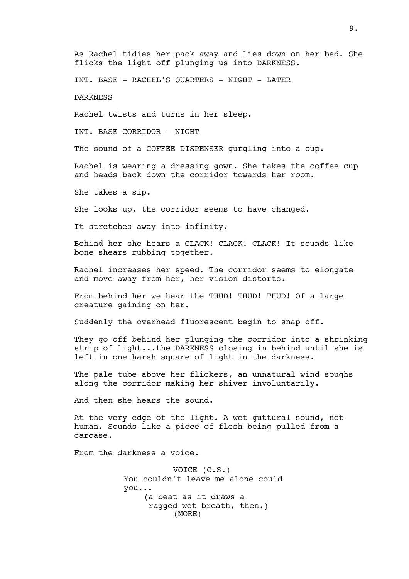As Rachel tidies her pack away and lies down on her bed. She flicks the light off plunging us into DARKNESS.

INT. BASE - RACHEL'S QUARTERS - NIGHT - LATER

DARKNESS

Rachel twists and turns in her sleep.

INT. BASE CORRIDOR - NIGHT

The sound of a COFFEE DISPENSER qurgling into a cup.

Rachel is wearing a dressing gown. She takes the coffee cup and heads back down the corridor towards her room.

She takes a sip.

She looks up, the corridor seems to have changed.

It stretches away into infinity.

Behind her she hears a CLACK! CLACK! CLACK! It sounds like bone shears rubbing together.

Rachel increases her speed. The corridor seems to elongate and move away from her, her vision distorts.

From behind her we hear the THUD! THUD! THUD! Of a large creature gaining on her.

Suddenly the overhead fluorescent begin to snap off.

They go off behind her plunging the corridor into a shrinking strip of light...the DARKNESS closing in behind until she is left in one harsh square of light in the darkness.

The pale tube above her flickers, an unnatural wind soughs along the corridor making her shiver involuntarily.

And then she hears the sound.

At the very edge of the light. A wet guttural sound, not human. Sounds like a piece of flesh being pulled from a carcase.

From the darkness a voice.

VOICE (O.S.) You couldn't leave me alone could you... (a beat as it draws a ragged wet breath, then.) (MORE)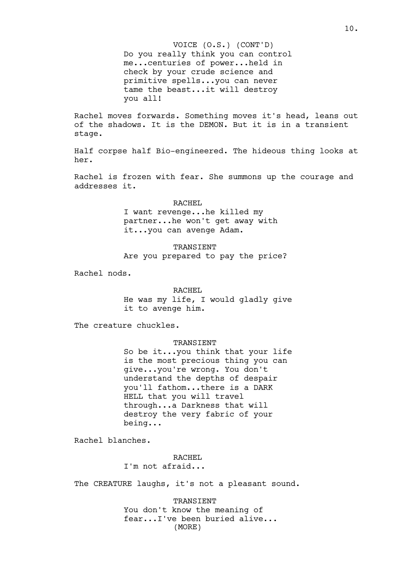Do you really think you can control me...centuries of power...held in check by your crude science and primitive spells...you can never tame the beast...it will destroy you all! VOICE (O.S.) (CONT'D)

Rachel moves forwards. Something moves it's head, leans out of the shadows. It is the DEMON. But it is in a transient stage.

Half corpse half Bio-engineered. The hideous thing looks at her.

Rachel is frozen with fear. She summons up the courage and addresses it.

> RACHEL I want revenge...he killed my partner...he won't get away with it...you can avenge Adam.

TRANSIENT Are you prepared to pay the price?

Rachel nods.

## RACHEL

He was my life, I would gladly give it to avenge him.

The creature chuckles.

#### TRANSIENT

So be it...you think that your life is the most precious thing you can give...you're wrong. You don't understand the depths of despair you'll fathom...there is a DARK HELL that you will travel through...a Darkness that will destroy the very fabric of your being...

Rachel blanches.

RACHEL

I'm not afraid...

The CREATURE laughs, it's not a pleasant sound.

TRANSIENT You don't know the meaning of fear...I've been buried alive... (MORE)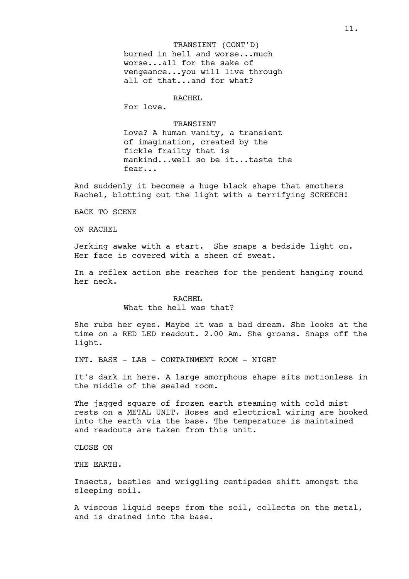burned in hell and worse...much worse...all for the sake of vengeance...you will live through all of that...and for what? TRANSIENT (CONT'D)

# RACHEL

For love.

**TRANSIENT** Love? A human vanity, a transient of imagination, created by the fickle frailty that is mankind...well so be it...taste the fear...

And suddenly it becomes a huge black shape that smothers Rachel, blotting out the light with a terrifying SCREECH!

BACK TO SCENE

ON RACHEL

Jerking awake with a start. She snaps a bedside light on. Her face is covered with a sheen of sweat.

In a reflex action she reaches for the pendent hanging round her neck.

# RACHEL What the hell was that?

She rubs her eyes. Maybe it was a bad dream. She looks at the time on a RED LED readout. 2.00 Am. She groans. Snaps off the light.

INT. BASE - LAB - CONTAINMENT ROOM - NIGHT

It's dark in here. A large amorphous shape sits motionless in the middle of the sealed room.

The jagged square of frozen earth steaming with cold mist rests on a METAL UNIT. Hoses and electrical wiring are hooked into the earth via the base. The temperature is maintained and readouts are taken from this unit.

CLOSE ON

THE EARTH.

Insects, beetles and wriggling centipedes shift amongst the sleeping soil.

A viscous liquid seeps from the soil, collects on the metal, and is drained into the base.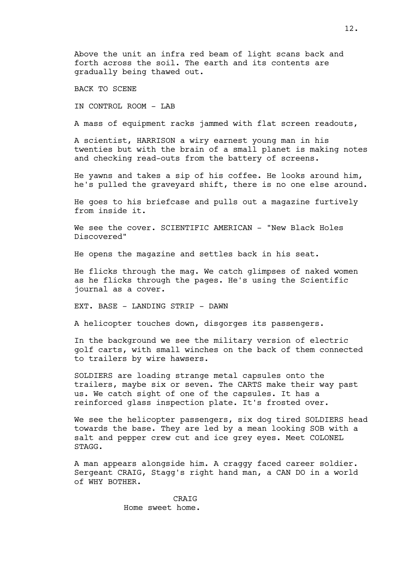Above the unit an infra red beam of light scans back and forth across the soil. The earth and its contents are gradually being thawed out.

BACK TO SCENE

IN CONTROL ROOM - LAB

A mass of equipment racks jammed with flat screen readouts,

A scientist, HARRISON a wiry earnest young man in his twenties but with the brain of a small planet is making notes and checking read-outs from the battery of screens.

He yawns and takes a sip of his coffee. He looks around him, he's pulled the graveyard shift, there is no one else around.

He goes to his briefcase and pulls out a magazine furtively from inside it.

We see the cover. SCIENTIFIC AMERICAN - "New Black Holes Discovered"

He opens the magazine and settles back in his seat.

He flicks through the mag. We catch glimpses of naked women as he flicks through the pages. He's using the Scientific journal as a cover.

EXT. BASE - LANDING STRIP - DAWN

A helicopter touches down, disgorges its passengers.

In the background we see the military version of electric golf carts, with small winches on the back of them connected to trailers by wire hawsers.

SOLDIERS are loading strange metal capsules onto the trailers, maybe six or seven. The CARTS make their way past us. We catch sight of one of the capsules. It has a reinforced glass inspection plate. It's frosted over.

We see the helicopter passengers, six dog tired SOLDIERS head towards the base. They are led by a mean looking SOB with a salt and pepper crew cut and ice grey eyes. Meet COLONEL STAGG.

A man appears alongside him. A craggy faced career soldier. Sergeant CRAIG, Stagg's right hand man, a CAN DO in a world of WHY BOTHER.

> CRAIG Home sweet home.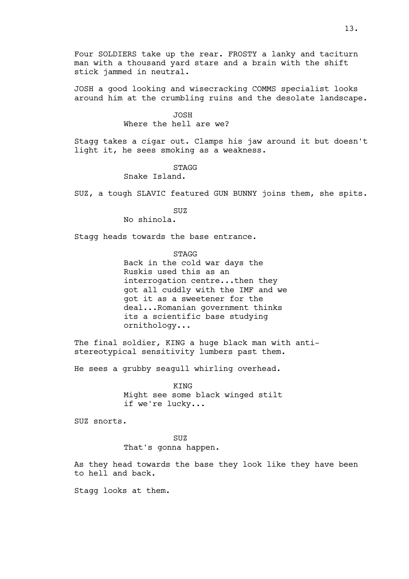Four SOLDIERS take up the rear. FROSTY a lanky and taciturn man with a thousand yard stare and a brain with the shift stick jammed in neutral.

JOSH a good looking and wisecracking COMMS specialist looks around him at the crumbling ruins and the desolate landscape.

> JOSH Where the hell are we?

Stagg takes a cigar out. Clamps his jaw around it but doesn't light it, he sees smoking as a weakness.

STAGG

Snake Island.

SUZ, a tough SLAVIC featured GUN BUNNY joins them, she spits.

SUZ

No shinola.

Stagg heads towards the base entrance.

**STAGG** 

Back in the cold war days the Ruskis used this as an interrogation centre...then they got all cuddly with the IMF and we got it as a sweetener for the deal...Romanian government thinks its a scientific base studying ornithology...

The final soldier, KING a huge black man with antistereotypical sensitivity lumbers past them.

He sees a grubby seagull whirling overhead.

KING Might see some black winged stilt if we're lucky...

SUZ snorts.

SUZ That's gonna happen.

As they head towards the base they look like they have been to hell and back.

Stagg looks at them.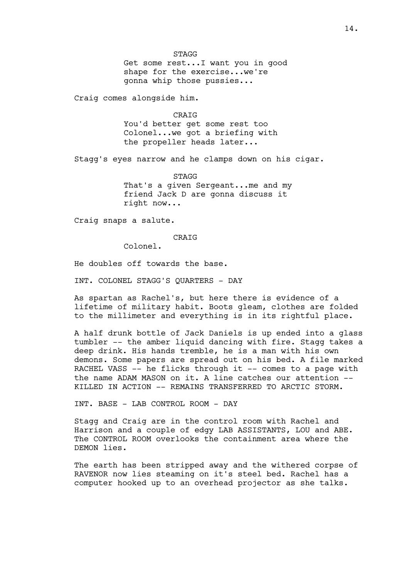STAGG

Get some rest...I want you in good shape for the exercise...we're gonna whip those pussies...

Craig comes alongside him.

CRAIG

You'd better get some rest too Colonel...we got a briefing with the propeller heads later...

Stagg's eyes narrow and he clamps down on his cigar.

STAGG That's a given Sergeant...me and my friend Jack D are gonna discuss it right now...

Craig snaps a salute.

CRAIG

Colonel.

He doubles off towards the base.

INT. COLONEL STAGG'S QUARTERS - DAY

As spartan as Rachel's, but here there is evidence of a lifetime of military habit. Boots gleam, clothes are folded to the millimeter and everything is in its rightful place.

A half drunk bottle of Jack Daniels is up ended into a glass tumbler -- the amber liquid dancing with fire. Stagg takes a deep drink. His hands tremble, he is a man with his own demons. Some papers are spread out on his bed. A file marked RACHEL VASS -- he flicks through it -- comes to a page with the name ADAM MASON on it. A line catches our attention -- KILLED IN ACTION -- REMAINS TRANSFERRED TO ARCTIC STORM.

INT. BASE - LAB CONTROL ROOM - DAY

Stagg and Craig are in the control room with Rachel and Harrison and a couple of edgy LAB ASSISTANTS, LOU and ABE. The CONTROL ROOM overlooks the containment area where the DEMON lies.

The earth has been stripped away and the withered corpse of RAVENOR now lies steaming on it's steel bed. Rachel has a computer hooked up to an overhead projector as she talks.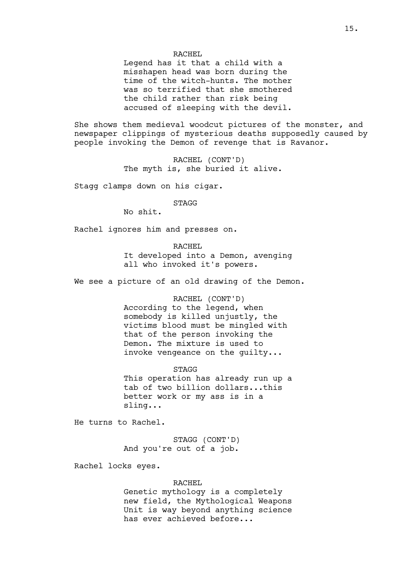## RACHEL

Legend has it that a child with a misshapen head was born during the time of the witch-hunts. The mother was so terrified that she smothered the child rather than risk being accused of sleeping with the devil.

She shows them medieval woodcut pictures of the monster, and newspaper clippings of mysterious deaths supposedly caused by people invoking the Demon of revenge that is Ravanor.

> RACHEL (CONT'D) The myth is, she buried it alive.

Stagg clamps down on his cigar.

**STAGG** 

No shit.

Rachel ignores him and presses on.

RACHEL It developed into a Demon, avenging all who invoked it's powers.

We see a picture of an old drawing of the Demon.

#### RACHEL (CONT'D)

According to the legend, when somebody is killed unjustly, the victims blood must be mingled with that of the person invoking the Demon. The mixture is used to invoke vengeance on the guilty...

STAGG

This operation has already run up a tab of two billion dollars...this better work or my ass is in a sling...

He turns to Rachel.

STAGG (CONT'D) And you're out of a job.

Rachel locks eyes.

## RACHEL

Genetic mythology is a completely new field, the Mythological Weapons Unit is way beyond anything science has ever achieved before...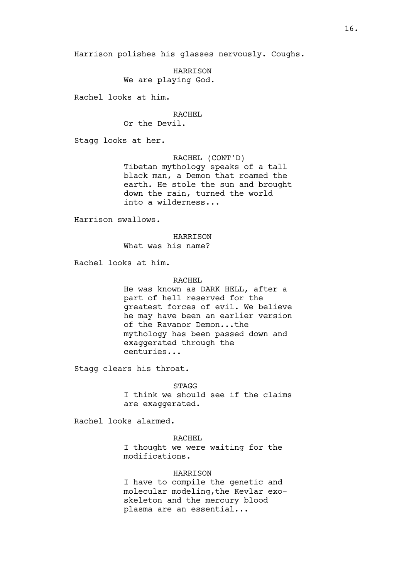Harrison polishes his glasses nervously. Coughs.

HARRISON We are playing God.

Rachel looks at him.

## RACHEL

Or the Devil.

Stagg looks at her.

RACHEL (CONT'D)

Tibetan mythology speaks of a tall black man, a Demon that roamed the earth. He stole the sun and brought down the rain, turned the world into a wilderness...

Harrison swallows.

## HARRISON

What was his name?

Rachel looks at him.

# RACHEL

He was known as DARK HELL, after a part of hell reserved for the greatest forces of evil. We believe he may have been an earlier version of the Ravanor Demon...the mythology has been passed down and exaggerated through the centuries...

Stagg clears his throat.

STAGG

I think we should see if the claims are exaggerated.

Rachel looks alarmed.

RACHEL I thought we were waiting for the modifications.

HARRISON

I have to compile the genetic and molecular modeling,the Kevlar exoskeleton and the mercury blood plasma are an essential...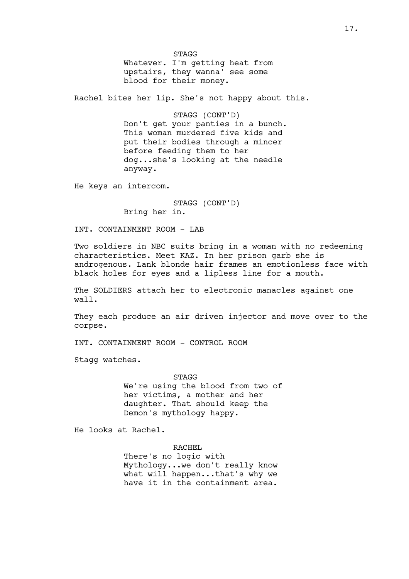STAGG Whatever. I'm getting heat from upstairs, they wanna' see some blood for their money.

Rachel bites her lip. She's not happy about this.

STAGG (CONT'D) Don't get your panties in a bunch. This woman murdered five kids and put their bodies through a mincer before feeding them to her dog...she's looking at the needle anyway.

He keys an intercom.

STAGG (CONT'D) Bring her in.

INT. CONTAINMENT ROOM - LAB

Two soldiers in NBC suits bring in a woman with no redeeming characteristics. Meet KAZ. In her prison garb she is androgenous. Lank blonde hair frames an emotionless face with black holes for eyes and a lipless line for a mouth.

The SOLDIERS attach her to electronic manacles against one wall.

They each produce an air driven injector and move over to the corpse.

INT. CONTAINMENT ROOM - CONTROL ROOM

Stagg watches.

**STAGG** We're using the blood from two of her victims, a mother and her daughter. That should keep the Demon's mythology happy.

He looks at Rachel.

RACHEL

There's no logic with Mythology...we don't really know what will happen...that's why we have it in the containment area.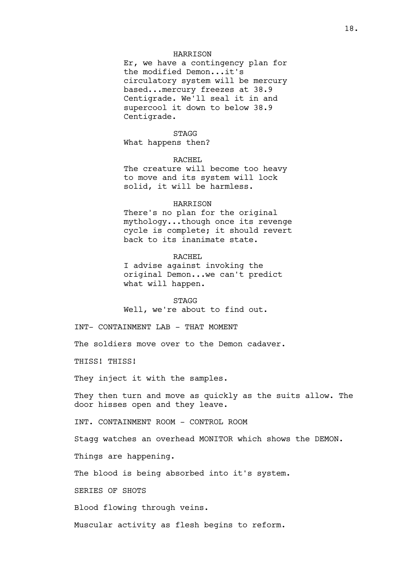#### HARRISON

Er, we have a contingency plan for the modified Demon...it's circulatory system will be mercury based...mercury freezes at 38.9 Centigrade. We'll seal it in and supercool it down to below 38.9 Centigrade.

STAGG What happens then?

#### RACHEL

The creature will become too heavy to move and its system will lock solid, it will be harmless.

#### HARRISON

There's no plan for the original mythology...though once its revenge cycle is complete; it should revert back to its inanimate state.

#### RACHEL

I advise against invoking the original Demon...we can't predict what will happen.

STAGG Well, we're about to find out.

INT- CONTAINMENT LAB - THAT MOMENT

The soldiers move over to the Demon cadaver.

THISS! THISS!

They inject it with the samples.

They then turn and move as quickly as the suits allow. The door hisses open and they leave.

INT. CONTAINMENT ROOM - CONTROL ROOM

Stagg watches an overhead MONITOR which shows the DEMON.

Things are happening.

The blood is being absorbed into it's system.

SERIES OF SHOTS

Blood flowing through veins.

Muscular activity as flesh begins to reform.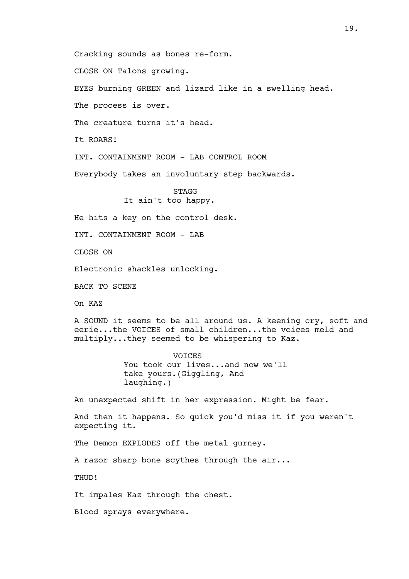Cracking sounds as bones re-form.

CLOSE ON Talons growing.

EYES burning GREEN and lizard like in a swelling head.

The process is over.

The creature turns it's head.

It ROARS!

INT. CONTAINMENT ROOM - LAB CONTROL ROOM

Everybody takes an involuntary step backwards.

STAGG It ain't too happy.

He hits a key on the control desk.

INT. CONTAINMENT ROOM - LAB

CLOSE ON

Electronic shackles unlocking.

BACK TO SCENE

On KAZ

A SOUND it seems to be all around us. A keening cry, soft and eerie...the VOICES of small children...the voices meld and multiply...they seemed to be whispering to Kaz.

> VOICES You took our lives...and now we'll take yours.(Giggling, And laughing.)

An unexpected shift in her expression. Might be fear.

And then it happens. So quick you'd miss it if you weren't expecting it.

The Demon EXPLODES off the metal gurney.

A razor sharp bone scythes through the air...

THUD!

It impales Kaz through the chest.

Blood sprays everywhere.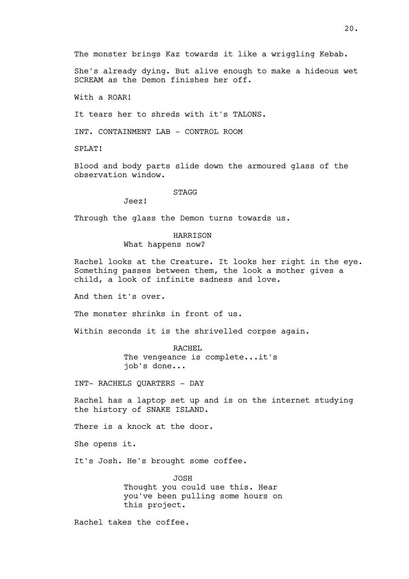The monster brings Kaz towards it like a wriggling Kebab.

She's already dying. But alive enough to make a hideous wet SCREAM as the Demon finishes her off.

With a ROAR!

It tears her to shreds with it's TALONS.

INT. CONTAINMENT LAB - CONTROL ROOM

SPLAT!

Blood and body parts slide down the armoured glass of the observation window.

STAGG

Jeez!

Through the glass the Demon turns towards us.

#### HARRISON

What happens now?

Rachel looks at the Creature. It looks her right in the eye. Something passes between them, the look a mother gives a child, a look of infinite sadness and love.

And then it's over.

The monster shrinks in front of us.

Within seconds it is the shrivelled corpse again.

RACHEL

The vengeance is complete...it's job's done...

INT- RACHELS QUARTERS - DAY

Rachel has a laptop set up and is on the internet studying the history of SNAKE ISLAND.

There is a knock at the door.

She opens it.

It's Josh. He's brought some coffee.

JOSH Thought you could use this. Hear you've been pulling some hours on this project.

Rachel takes the coffee.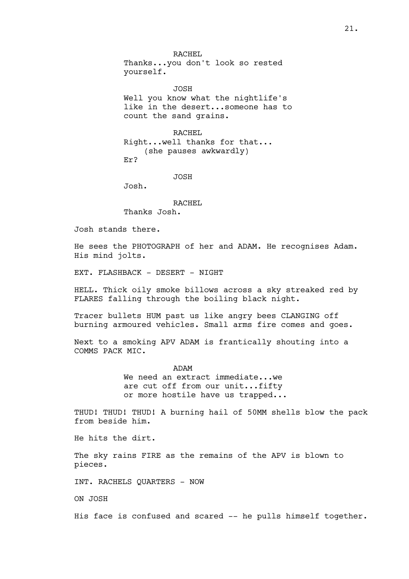RACHEL Thanks...you don't look so rested yourself.

JOSH Well you know what the nightlife's like in the desert...someone has to count the sand grains.

RACHEL Right...well thanks for that... (she pauses awkwardly) Er?

JOSH

Josh.

RACHEL Thanks Josh.

Josh stands there.

He sees the PHOTOGRAPH of her and ADAM. He recognises Adam. His mind jolts.

EXT. FLASHBACK - DESERT - NIGHT

HELL. Thick oily smoke billows across a sky streaked red by FLARES falling through the boiling black night.

Tracer bullets HUM past us like angry bees CLANGING off burning armoured vehicles. Small arms fire comes and goes.

Next to a smoking APV ADAM is frantically shouting into a COMMS PACK MIC.

> ADAM We need an extract immediate...we are cut off from our unit...fifty or more hostile have us trapped...

THUD! THUD! THUD! A burning hail of 50MM shells blow the pack from beside him.

He hits the dirt.

The sky rains FIRE as the remains of the APV is blown to pieces.

INT. RACHELS QUARTERS - NOW

ON JOSH

His face is confused and scared -- he pulls himself together.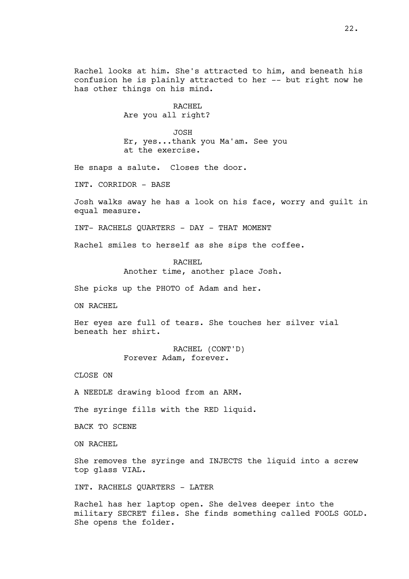Rachel looks at him. She's attracted to him, and beneath his confusion he is plainly attracted to her -- but right now he has other things on his mind.

> RACHEL Are you all right?

JOSH Er, yes...thank you Ma'am. See you at the exercise.

He snaps a salute. Closes the door.

INT. CORRIDOR - BASE

Josh walks away he has a look on his face, worry and guilt in equal measure.

INT- RACHELS QUARTERS - DAY - THAT MOMENT

Rachel smiles to herself as she sips the coffee.

RACHEL Another time, another place Josh.

She picks up the PHOTO of Adam and her.

ON RACHEL

Her eyes are full of tears. She touches her silver vial beneath her shirt.

> RACHEL (CONT'D) Forever Adam, forever.

CLOSE ON

A NEEDLE drawing blood from an ARM.

The syringe fills with the RED liquid.

BACK TO SCENE

ON RACHEL

She removes the syringe and INJECTS the liquid into a screw top glass VIAL.

INT. RACHELS QUARTERS - LATER

Rachel has her laptop open. She delves deeper into the military SECRET files. She finds something called FOOLS GOLD. She opens the folder.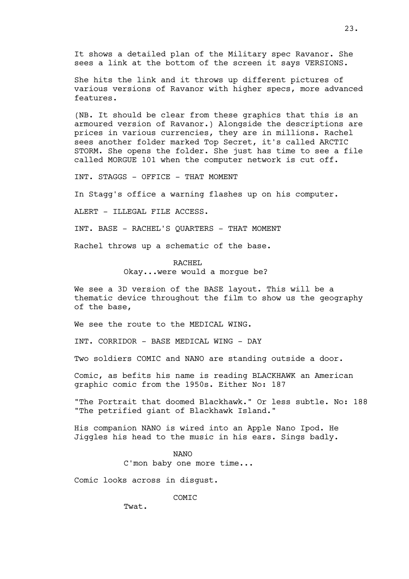It shows a detailed plan of the Military spec Ravanor. She sees a link at the bottom of the screen it says VERSIONS.

She hits the link and it throws up different pictures of various versions of Ravanor with higher specs, more advanced features.

(NB. It should be clear from these graphics that this is an armoured version of Ravanor.) Alongside the descriptions are prices in various currencies, they are in millions. Rachel sees another folder marked Top Secret, it's called ARCTIC STORM. She opens the folder. She just has time to see a file called MORGUE 101 when the computer network is cut off.

INT. STAGGS - OFFICE - THAT MOMENT

In Stagg's office a warning flashes up on his computer.

ALERT - ILLEGAL FILE ACCESS.

INT. BASE - RACHEL'S QUARTERS - THAT MOMENT

Rachel throws up a schematic of the base.

#### RACHEL

Okay...were would a morgue be?

We see a 3D version of the BASE layout. This will be a thematic device throughout the film to show us the geography of the base,

We see the route to the MEDICAL WING.

INT. CORRIDOR - BASE MEDICAL WING - DAY

Two soldiers COMIC and NANO are standing outside a door.

Comic, as befits his name is reading BLACKHAWK an American graphic comic from the 1950s. Either No: 187

"The Portrait that doomed Blackhawk." Or less subtle. No: 188 "The petrified giant of Blackhawk Island."

His companion NANO is wired into an Apple Nano Ipod. He Jiggles his head to the music in his ears. Sings badly.

NANO

C'mon baby one more time...

Comic looks across in disgust.

COMIC

Twat.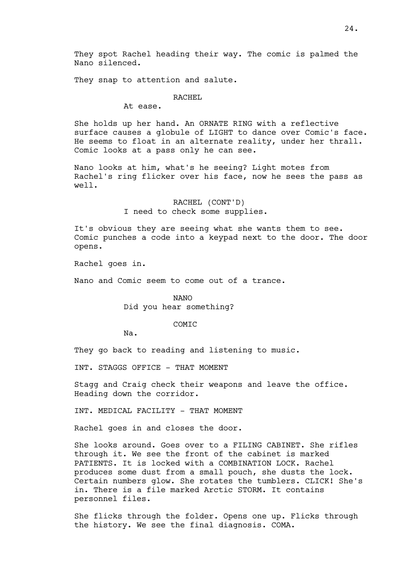They spot Rachel heading their way. The comic is palmed the Nano silenced.

They snap to attention and salute.

#### RACHEL

At ease.

She holds up her hand. An ORNATE RING with a reflective surface causes a globule of LIGHT to dance over Comic's face. He seems to float in an alternate reality, under her thrall. Comic looks at a pass only he can see.

Nano looks at him, what's he seeing? Light motes from Rachel's ring flicker over his face, now he sees the pass as well.

> RACHEL (CONT'D) I need to check some supplies.

It's obvious they are seeing what she wants them to see. Comic punches a code into a keypad next to the door. The door opens.

Rachel goes in.

Nano and Comic seem to come out of a trance.

NANO

Did you hear something?

# COMIC

Na.

They go back to reading and listening to music.

INT. STAGGS OFFICE - THAT MOMENT

Stagg and Craig check their weapons and leave the office. Heading down the corridor.

INT. MEDICAL FACILITY - THAT MOMENT

Rachel goes in and closes the door.

She looks around. Goes over to a FILING CABINET. She rifles through it. We see the front of the cabinet is marked PATIENTS. It is locked with a COMBINATION LOCK. Rachel produces some dust from a small pouch, she dusts the lock. Certain numbers glow. She rotates the tumblers. CLICK! She's in. There is a file marked Arctic STORM. It contains personnel files.

She flicks through the folder. Opens one up. Flicks through the history. We see the final diagnosis. COMA.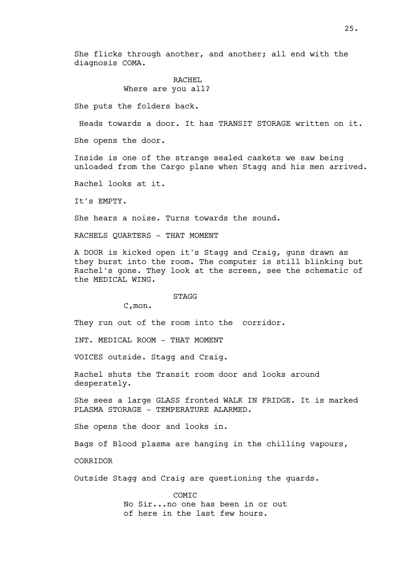She flicks through another, and another; all end with the diagnosis COMA.

# RACHEL Where are you all?

She puts the folders back.

Heads towards a door. It has TRANSIT STORAGE written on it.

She opens the door.

Inside is one of the strange sealed caskets we saw being unloaded from the Cargo plane when Stagg and his men arrived.

Rachel looks at it.

It's EMPTY.

She hears a noise. Turns towards the sound.

RACHELS QUARTERS - THAT MOMENT

A DOOR is kicked open it's Stagg and Craig, guns drawn as they burst into the room. The computer is still blinking but Rachel's gone. They look at the screen, see the schematic of the MEDICAL WING.

#### STAGG

C,mon.

They run out of the room into the corridor.

INT. MEDICAL ROOM - THAT MOMENT

VOICES outside. Stagg and Craig.

Rachel shuts the Transit room door and looks around desperately.

She sees a large GLASS fronted WALK IN FRIDGE. It is marked PLASMA STORAGE - TEMPERATURE ALARMED.

She opens the door and looks in.

Bags of Blood plasma are hanging in the chilling vapours,

CORRIDOR

Outside Stagg and Craig are questioning the guards.

COMIC No Sir...no one has been in or out of here in the last few hours.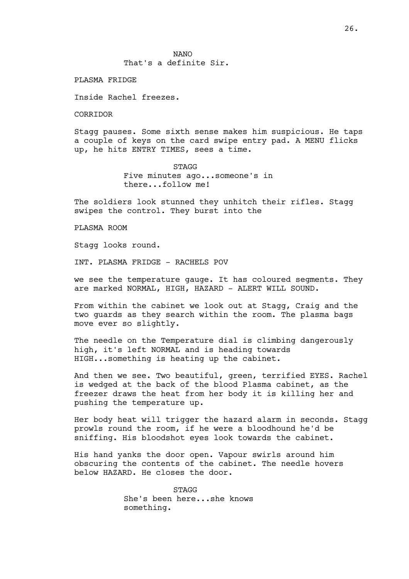NANO That's a definite Sir.

PLASMA FRIDGE

Inside Rachel freezes.

CORRIDOR

Stagg pauses. Some sixth sense makes him suspicious. He taps a couple of keys on the card swipe entry pad. A MENU flicks up, he hits ENTRY TIMES, sees a time.

> STAGG Five minutes ago...someone's in there...follow me!

The soldiers look stunned they unhitch their rifles. Stagg swipes the control. They burst into the

PLASMA ROOM

Stagg looks round.

INT. PLASMA FRIDGE - RACHELS POV

we see the temperature gauge. It has coloured segments. They are marked NORMAL, HIGH, HAZARD - ALERT WILL SOUND.

From within the cabinet we look out at Stagg, Craig and the two guards as they search within the room. The plasma bags move ever so slightly.

The needle on the Temperature dial is climbing dangerously high, it's left NORMAL and is heading towards HIGH...something is heating up the cabinet.

And then we see. Two beautiful, green, terrified EYES. Rachel is wedged at the back of the blood Plasma cabinet, as the freezer draws the heat from her body it is killing her and pushing the temperature up.

Her body heat will trigger the hazard alarm in seconds. Stagg prowls round the room, if he were a bloodhound he'd be sniffing. His bloodshot eyes look towards the cabinet.

His hand yanks the door open. Vapour swirls around him obscuring the contents of the cabinet. The needle hovers below HAZARD. He closes the door.

> **STAGG** She's been here...she knows something.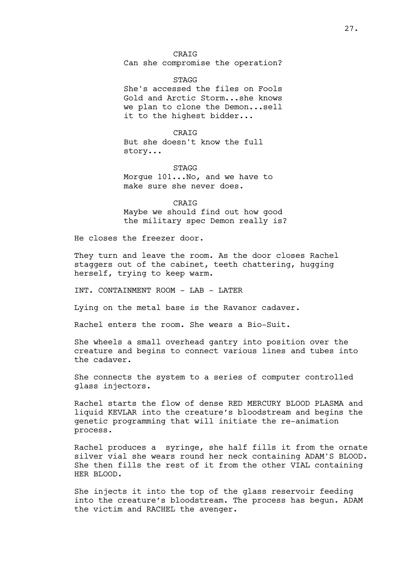**STAGG** She's accessed the files on Fools Gold and Arctic Storm...she knows we plan to clone the Demon...sell it to the highest bidder...

## CRAIG

But she doesn't know the full story...

# STAGG

Morgue 101...No, and we have to make sure she never does.

CRAIG

Maybe we should find out how good the military spec Demon really is?

He closes the freezer door.

They turn and leave the room. As the door closes Rachel staggers out of the cabinet, teeth chattering, hugging herself, trying to keep warm.

INT. CONTAINMENT ROOM - LAB - LATER

Lying on the metal base is the Ravanor cadaver.

Rachel enters the room. She wears a Bio-Suit.

She wheels a small overhead gantry into position over the creature and begins to connect various lines and tubes into the cadaver.

She connects the system to a series of computer controlled glass injectors.

Rachel starts the flow of dense RED MERCURY BLOOD PLASMA and liquid KEVLAR into the creature's bloodstream and begins the genetic programming that will initiate the re-animation process.

Rachel produces a syringe, she half fills it from the ornate silver vial she wears round her neck containing ADAM'S BLOOD. She then fills the rest of it from the other VIAL containing HER BLOOD.

She injects it into the top of the glass reservoir feeding into the creature's bloodstream. The process has begun. ADAM the victim and RACHEL the avenger.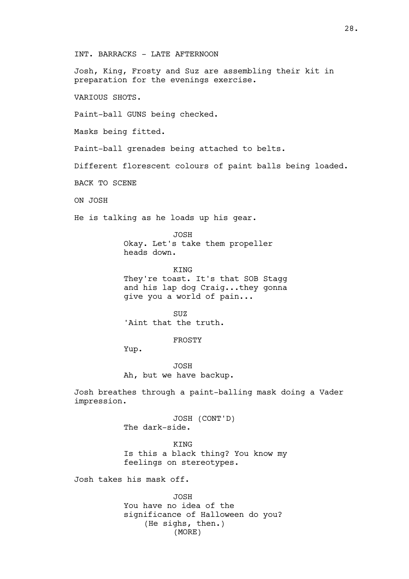INT. BARRACKS - LATE AFTERNOON

Josh, King, Frosty and Suz are assembling their kit in preparation for the evenings exercise.

VARIOUS SHOTS.

Paint-ball GUNS being checked.

Masks being fitted.

Paint-ball grenades being attached to belts.

Different florescent colours of paint balls being loaded.

BACK TO SCENE

ON JOSH

He is talking as he loads up his gear.

JOSH Okay. Let's take them propeller heads down.

KING They're toast. It's that SOB Stagg and his lap dog Craig...they gonna give you a world of pain...

SUZ 'Aint that the truth.

FROSTY

Yup.

JOSH Ah, but we have backup.

Josh breathes through a paint-balling mask doing a Vader impression.

> JOSH (CONT'D) The dark-side.

**KTNG** Is this a black thing? You know my feelings on stereotypes.

Josh takes his mask off.

JOSH You have no idea of the significance of Halloween do you? (He sighs, then.) (MORE)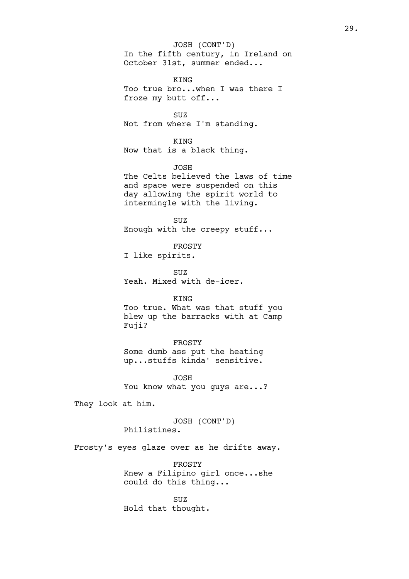In the fifth century, in Ireland on October 31st, summer ended... JOSH (CONT'D)

KING Too true bro...when I was there I froze my butt off...

SUZ Not from where I'm standing.

KING

Now that is a black thing.

JOSH

The Celts believed the laws of time and space were suspended on this day allowing the spirit world to intermingle with the living.

SUZ Enough with the creepy stuff...

FROSTY I like spirits.

SUZ Yeah. Mixed with de-icer.

## KING

Too true. What was that stuff you blew up the barracks with at Camp Fuji?

FROSTY

Some dumb ass put the heating up...stuffs kinda' sensitive.

JOSH You know what you guys are...?

They look at him.

JOSH (CONT'D) Philistines.

Frosty's eyes glaze over as he drifts away.

FROSTY Knew a Filipino girl once...she could do this thing...

SUZ Hold that thought.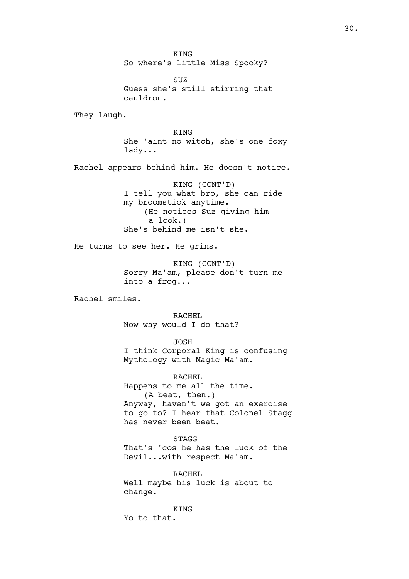KING So where's little Miss Spooky?

SUZ Guess she's still stirring that cauldron.

They laugh.

KING She 'aint no witch, she's one foxy lady...

Rachel appears behind him. He doesn't notice.

KING (CONT'D) I tell you what bro, she can ride my broomstick anytime. (He notices Suz giving him a look.) She's behind me isn't she.

He turns to see her. He grins.

KING (CONT'D) Sorry Ma'am, please don't turn me into a frog...

Rachel smiles.

RACHEL Now why would I do that?

JOSH

I think Corporal King is confusing Mythology with Magic Ma'am.

RACHEL Happens to me all the time. (A beat, then.) Anyway, haven't we got an exercise to go to? I hear that Colonel Stagg has never been beat.

STAGG That's 'cos he has the luck of the Devil...with respect Ma'am.

RACHEL Well maybe his luck is about to change.

**KTNG** Yo to that.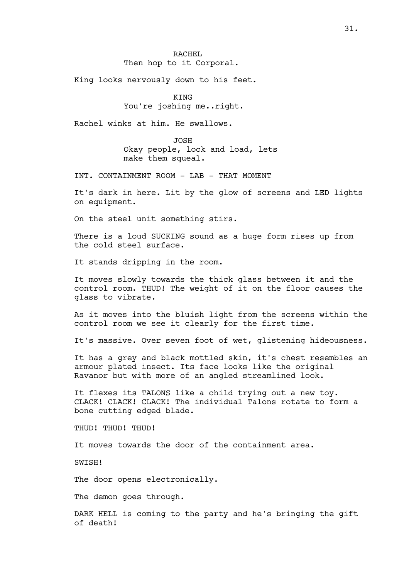King looks nervously down to his feet.

**KTNG** 

You're joshing me..right.

Rachel winks at him. He swallows.

JOSH Okay people, lock and load, lets make them squeal.

INT. CONTAINMENT ROOM - LAB - THAT MOMENT

It's dark in here. Lit by the glow of screens and LED lights on equipment.

On the steel unit something stirs.

There is a loud SUCKING sound as a huge form rises up from the cold steel surface.

It stands dripping in the room.

It moves slowly towards the thick glass between it and the control room. THUD! The weight of it on the floor causes the glass to vibrate.

As it moves into the bluish light from the screens within the control room we see it clearly for the first time.

It's massive. Over seven foot of wet, glistening hideousness.

It has a grey and black mottled skin, it's chest resembles an armour plated insect. Its face looks like the original Ravanor but with more of an angled streamlined look.

It flexes its TALONS like a child trying out a new toy. CLACK! CLACK! CLACK! The individual Talons rotate to form a bone cutting edged blade.

THUD! THUD! THUD!

It moves towards the door of the containment area.

SWISH!

The door opens electronically.

The demon goes through.

DARK HELL is coming to the party and he's bringing the gift of death!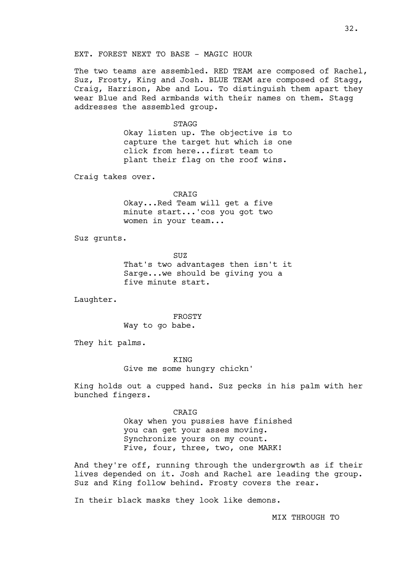## EXT. FOREST NEXT TO BASE - MAGIC HOUR

The two teams are assembled. RED TEAM are composed of Rachel, Suz, Frosty, King and Josh. BLUE TEAM are composed of Stagg, Craig, Harrison, Abe and Lou. To distinguish them apart they wear Blue and Red armbands with their names on them. Stagg addresses the assembled group.

STAGG

Okay listen up. The objective is to capture the target hut which is one click from here...first team to plant their flag on the roof wins.

Craig takes over.

CRAIG

Okay...Red Team will get a five minute start...'cos you got two women in your team...

Suz grunts.

SUZ That's two advantages then isn't it Sarge...we should be giving you a five minute start.

Laughter.

FROSTY Way to go babe.

They hit palms.

KING Give me some hungry chickn'

King holds out a cupped hand. Suz pecks in his palm with her bunched fingers.

> CRAIG Okay when you pussies have finished you can get your asses moving. Synchronize yours on my count. Five, four, three, two, one MARK!

And they're off, running through the undergrowth as if their lives depended on it. Josh and Rachel are leading the group. Suz and King follow behind. Frosty covers the rear.

In their black masks they look like demons.

MIX THROUGH TO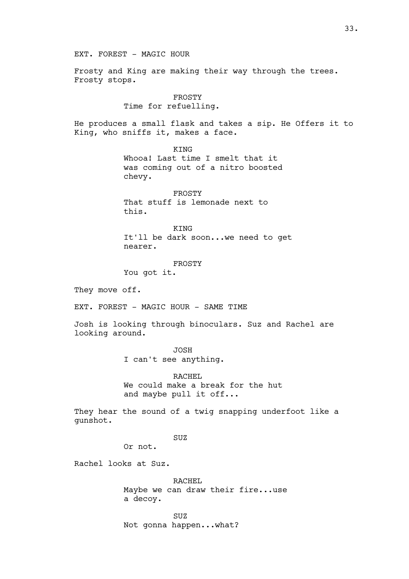EXT. FOREST - MAGIC HOUR

Frosty and King are making their way through the trees. Frosty stops.

> FROSTY Time for refuelling.

He produces a small flask and takes a sip. He Offers it to King, who sniffs it, makes a face.

> **KTNG** Whooa! Last time I smelt that it was coming out of a nitro boosted chevy.

FROSTY That stuff is lemonade next to this.

KING It'll be dark soon...we need to get nearer.

FROSTY

You got it.

They move off.

EXT. FOREST - MAGIC HOUR - SAME TIME

Josh is looking through binoculars. Suz and Rachel are looking around.

> JOSH I can't see anything.

RACHEL We could make a break for the hut and maybe pull it off...

They hear the sound of a twig snapping underfoot like a gunshot.

SUZ

Or not.

Rachel looks at Suz.

RACHEL Maybe we can draw their fire...use a decoy.

SUZ Not gonna happen...what?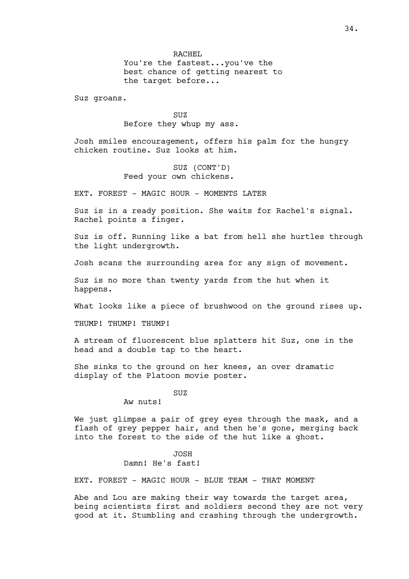You're the fastest...you've the best chance of getting nearest to the target before...

Suz groans.

SUZ Before they whup my ass.

Josh smiles encouragement, offers his palm for the hungry chicken routine. Suz looks at him.

> SUZ (CONT'D) Feed your own chickens.

EXT. FOREST - MAGIC HOUR - MOMENTS LATER

Suz is in a ready position. She waits for Rachel's signal. Rachel points a finger.

Suz is off. Running like a bat from hell she hurtles through the light undergrowth.

Josh scans the surrounding area for any sign of movement.

Suz is no more than twenty yards from the hut when it happens.

What looks like a piece of brushwood on the ground rises up.

THUMP! THUMP! THUMP!

A stream of fluorescent blue splatters hit Suz, one in the head and a double tap to the heart.

She sinks to the ground on her knees, an over dramatic display of the Platoon movie poster.

SUZ

Aw nuts!

We just glimpse a pair of grey eyes through the mask, and a flash of grey pepper hair, and then he's gone, merging back into the forest to the side of the hut like a ghost.

# JOSH

# Damn! He's fast!

EXT. FOREST - MAGIC HOUR - BLUE TEAM - THAT MOMENT

Abe and Lou are making their way towards the target area, being scientists first and soldiers second they are not very good at it. Stumbling and crashing through the undergrowth.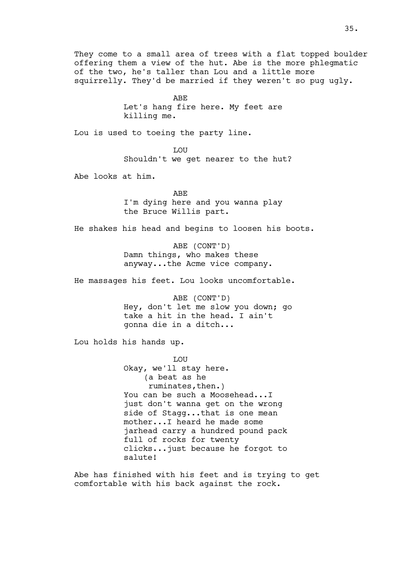They come to a small area of trees with a flat topped boulder offering them a view of the hut. Abe is the more phlegmatic of the two, he's taller than Lou and a little more squirrelly. They'd be married if they weren't so pug ugly.

> ABE Let's hang fire here. My feet are killing me.

Lou is used to toeing the party line.

LOU Shouldn't we get nearer to the hut?

Abe looks at him.

ABE I'm dying here and you wanna play the Bruce Willis part.

He shakes his head and begins to loosen his boots.

ABE (CONT'D) Damn things, who makes these anyway...the Acme vice company.

He massages his feet. Lou looks uncomfortable.

ABE (CONT'D) Hey, don't let me slow you down; go take a hit in the head. I ain't gonna die in a ditch...

Lou holds his hands up.

LOU Okay, we'll stay here. (a beat as he ruminates,then.) You can be such a Moosehead...I just don't wanna get on the wrong side of Stagg...that is one mean mother...I heard he made some jarhead carry a hundred pound pack full of rocks for twenty clicks...just because he forgot to salute!

Abe has finished with his feet and is trying to get comfortable with his back against the rock.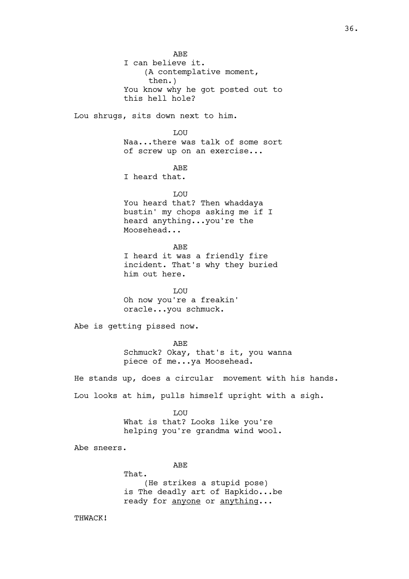ABE I can believe it. (A contemplative moment, then.) You know why he got posted out to this hell hole? Lou shrugs, sits down next to him. LOU Naa...there was talk of some sort of screw up on an exercise... ABE I heard that. **T.OUT** You heard that? Then whaddaya bustin' my chops asking me if I heard anything...you're the Moosehead... ABE I heard it was a friendly fire incident. That's why they buried him out here. LOU Oh now you're a freakin' oracle...you schmuck. Abe is getting pissed now. ABE Schmuck? Okay, that's it, you wanna piece of me...ya Moosehead. He stands up, does a circular movement with his hands. Lou looks at him, pulls himself upright with a sigh. LOU What is that? Looks like you're helping you're grandma wind wool. Abe sneers. ABE That. (He strikes a stupid pose) is The deadly art of Hapkido...be ready for anyone or anything... THWACK!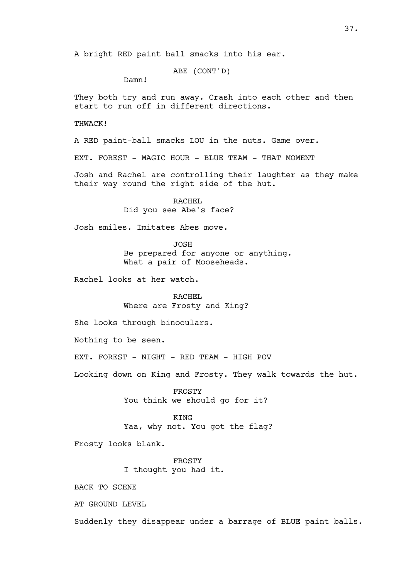A bright RED paint ball smacks into his ear.

ABE (CONT'D)

Damn!

They both try and run away. Crash into each other and then start to run off in different directions.

THWACK!

A RED paint-ball smacks LOU in the nuts. Game over.

EXT. FOREST - MAGIC HOUR - BLUE TEAM - THAT MOMENT

Josh and Rachel are controlling their laughter as they make their way round the right side of the hut.

> RACHEL Did you see Abe's face?

Josh smiles. Imitates Abes move.

JOSH Be prepared for anyone or anything. What a pair of Mooseheads.

Rachel looks at her watch.

RACHEL Where are Frosty and King?

She looks through binoculars.

Nothing to be seen.

EXT. FOREST - NIGHT - RED TEAM - HIGH POV

Looking down on King and Frosty. They walk towards the hut.

FROSTY You think we should go for it?

KING Yaa, why not. You got the flag?

Frosty looks blank.

FROSTY I thought you had it.

BACK TO SCENE

AT GROUND LEVEL

Suddenly they disappear under a barrage of BLUE paint balls.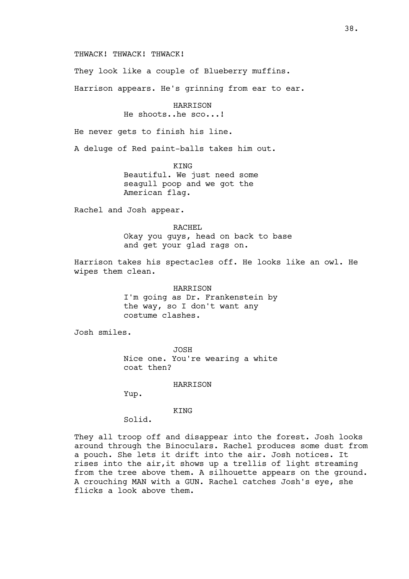THWACK! THWACK! THWACK!

They look like a couple of Blueberry muffins.

Harrison appears. He's grinning from ear to ear.

HARRISON He shoots..he sco...!

He never gets to finish his line.

A deluge of Red paint-balls takes him out.

KING Beautiful. We just need some seagull poop and we got the American flag.

Rachel and Josh appear.

RACHEL

Okay you guys, head on back to base and get your glad rags on.

Harrison takes his spectacles off. He looks like an owl. He wipes them clean.

> HARRISON I'm going as Dr. Frankenstein by the way, so I don't want any costume clashes.

Josh smiles.

JOSH Nice one. You're wearing a white coat then?

HARRISON

Yup.

KING

Solid.

They all troop off and disappear into the forest. Josh looks around through the Binoculars. Rachel produces some dust from a pouch. She lets it drift into the air. Josh notices. It rises into the air,it shows up a trellis of light streaming from the tree above them. A silhouette appears on the ground. A crouching MAN with a GUN. Rachel catches Josh's eye, she flicks a look above them.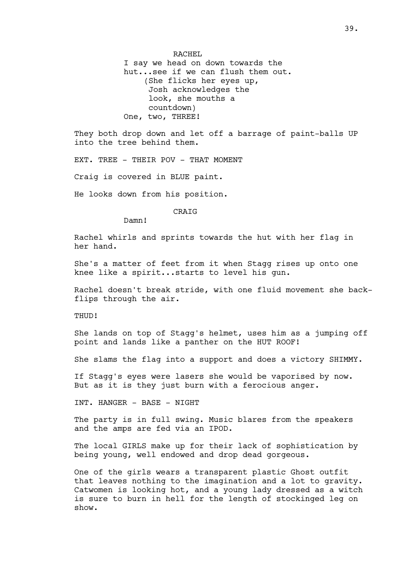RACHEL I say we head on down towards the hut...see if we can flush them out. (She flicks her eyes up, Josh acknowledges the look, she mouths a countdown) One, two, THREE!

They both drop down and let off a barrage of paint-balls UP into the tree behind them.

EXT. TREE - THEIR POV - THAT MOMENT

Craig is covered in BLUE paint.

He looks down from his position.

CRAIG

Damn!

Rachel whirls and sprints towards the hut with her flag in her hand.

She's a matter of feet from it when Stagg rises up onto one knee like a spirit...starts to level his gun.

Rachel doesn't break stride, with one fluid movement she backflips through the air.

THUD!

She lands on top of Stagg's helmet, uses him as a jumping off point and lands like a panther on the HUT ROOF!

She slams the flag into a support and does a victory SHIMMY.

If Stagg's eyes were lasers she would be vaporised by now. But as it is they just burn with a ferocious anger.

INT. HANGER - BASE - NIGHT

The party is in full swing. Music blares from the speakers and the amps are fed via an IPOD.

The local GIRLS make up for their lack of sophistication by being young, well endowed and drop dead gorgeous.

One of the girls wears a transparent plastic Ghost outfit that leaves nothing to the imagination and a lot to gravity. Catwomen is looking hot, and a young lady dressed as a witch is sure to burn in hell for the length of stockinged leg on show.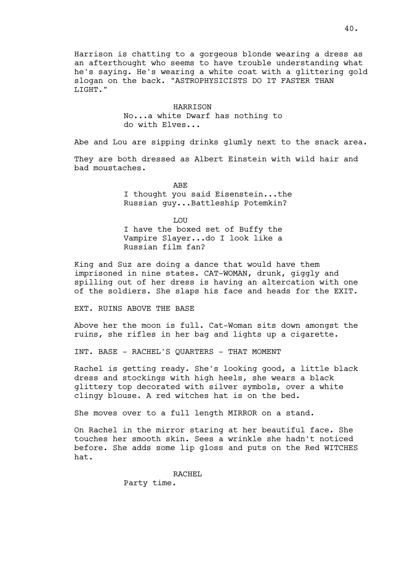Harrison is chatting to a gorgeous blonde wearing a dress as an afterthought who seems to have trouble understanding what he's saying. He's wearing a white coat with a glittering gold slogan on the back. "ASTROPHYSICISTS DO IT FASTER THAN LIGHT."

> HARRISON No...a white Dwarf has nothing to do with Elves...

Abe and Lou are sipping drinks glumly next to the snack area.

They are both dressed as Albert Einstein with wild hair and bad moustaches.

> ABE I thought you said Eisenstein...the Russian guy...Battleship Potemkin?

LOU I have the boxed set of Buffy the Vampire Slayer...do I look like a Russian film fan?

King and Suz are doing a dance that would have them imprisoned in nine states. CAT-WOMAN, drunk, giggly and spilling out of her dress is having an altercation with one of the soldiers. She slaps his face and heads for the EXIT.

EXT. RUINS ABOVE THE BASE

Above her the moon is full. Cat-Woman sits down amongst the ruins, she rifles in her bag and lights up a cigarette.

INT. BASE - RACHEL'S QUARTERS - THAT MOMENT

Rachel is getting ready. She's looking good, a little black dress and stockings with high heels, she wears a black glittery top decorated with silver symbols, over a white clingy blouse. A red witches hat is on the bed.

She moves over to a full length MIRROR on a stand.

On Rachel in the mirror staring at her beautiful face. She touches her smooth skin. Sees a wrinkle she hadn't noticed before. She adds some lip gloss and puts on the Red WITCHES hat.

RACHEL

Party time.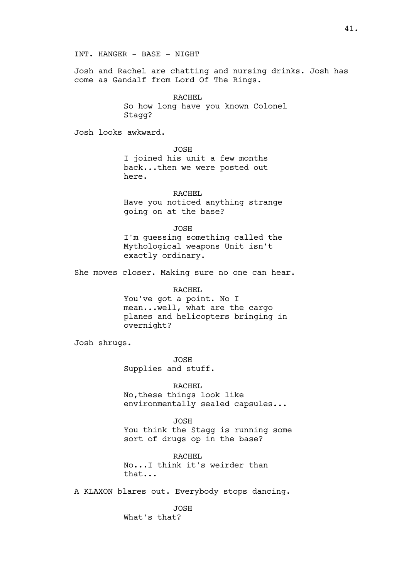Josh and Rachel are chatting and nursing drinks. Josh has come as Gandalf from Lord Of The Rings.

RACHEL

So how long have you known Colonel Stagg?

Josh looks awkward.

JOSH I joined his unit a few months back...then we were posted out here.

RACHEL Have you noticed anything strange going on at the base?

JOSH

I'm guessing something called the Mythological weapons Unit isn't exactly ordinary.

She moves closer. Making sure no one can hear.

# RACHEL

You've got a point. No I mean...well, what are the cargo planes and helicopters bringing in overnight?

Josh shrugs.

JOSH Supplies and stuff.

RACHEL

No,these things look like environmentally sealed capsules...

JOSH

You think the Stagg is running some sort of drugs op in the base?

RACHEL No...I think it's weirder than that...

A KLAXON blares out. Everybody stops dancing.

JOSH What's that?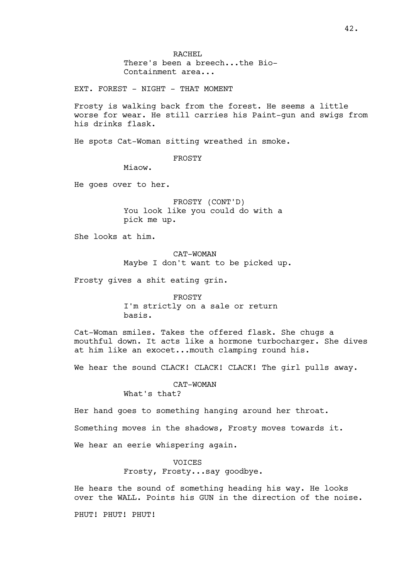RACHEL There's been a breech...the Bio-Containment area...

EXT. FOREST - NIGHT - THAT MOMENT

Frosty is walking back from the forest. He seems a little worse for wear. He still carries his Paint-gun and swigs from his drinks flask.

He spots Cat-Woman sitting wreathed in smoke.

FROSTY

Miaow.

He goes over to her.

FROSTY (CONT'D) You look like you could do with a pick me up.

She looks at him.

CAT-WOMAN Maybe I don't want to be picked up.

Frosty gives a shit eating grin.

FROSTY I'm strictly on a sale or return basis.

Cat-Woman smiles. Takes the offered flask. She chugs a mouthful down. It acts like a hormone turbocharger. She dives at him like an exocet...mouth clamping round his.

We hear the sound CLACK! CLACK! CLACK! The girl pulls away.

CAT-WOMAN What's that?

Her hand goes to something hanging around her throat. Something moves in the shadows, Frosty moves towards it. We hear an eerie whispering again.

> VOICES Frosty, Frosty...say goodbye.

He hears the sound of something heading his way. He looks over the WALL. Points his GUN in the direction of the noise.

PHUT! PHUT! PHUT!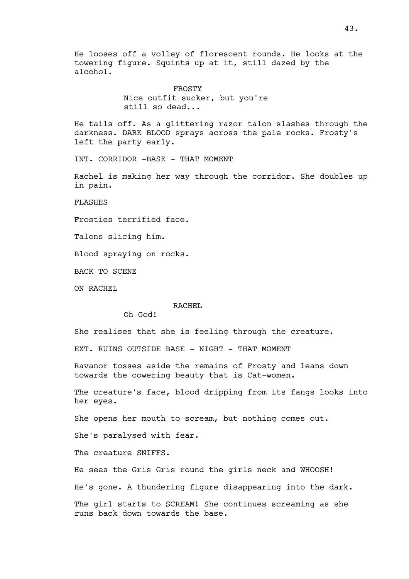He looses off a volley of florescent rounds. He looks at the towering figure. Squints up at it, still dazed by the alcohol.

> FROSTY Nice outfit sucker, but you're still so dead...

He tails off. As a glittering razor talon slashes through the darkness. DARK BLOOD sprays across the pale rocks. Frosty's left the party early.

INT. CORRIDOR -BASE - THAT MOMENT

Rachel is making her way through the corridor. She doubles up in pain.

FLASHES

Frosties terrified face.

Talons slicing him.

Blood spraying on rocks.

BACK TO SCENE

ON RACHEL

## RACHEL

Oh God!

She realises that she is feeling through the creature.

EXT. RUINS OUTSIDE BASE - NIGHT - THAT MOMENT

Ravanor tosses aside the remains of Frosty and leans down towards the cowering beauty that is Cat-women.

The creature's face, blood dripping from its fangs looks into her eyes.

She opens her mouth to scream, but nothing comes out.

She's paralysed with fear.

The creature SNIFFS.

He sees the Gris Gris round the girls neck and WHOOSH!

He's gone. A thundering figure disappearing into the dark.

The girl starts to SCREAM! She continues screaming as she runs back down towards the base.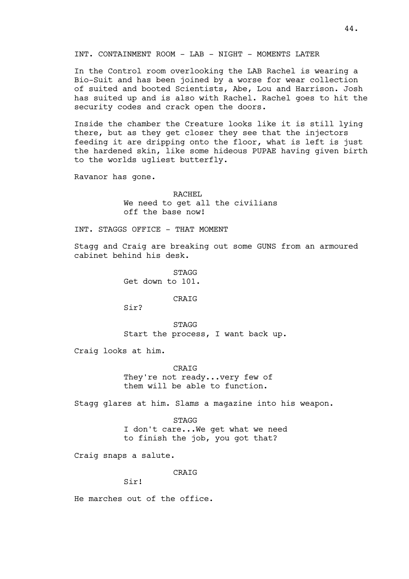INT. CONTAINMENT ROOM - LAB - NIGHT - MOMENTS LATER

In the Control room overlooking the LAB Rachel is wearing a Bio-Suit and has been joined by a worse for wear collection of suited and booted Scientists, Abe, Lou and Harrison. Josh has suited up and is also with Rachel. Rachel goes to hit the security codes and crack open the doors.

Inside the chamber the Creature looks like it is still lying there, but as they get closer they see that the injectors feeding it are dripping onto the floor, what is left is just the hardened skin, like some hideous PUPAE having given birth to the worlds ugliest butterfly.

Ravanor has gone.

RACHEL. We need to get all the civilians off the base now!

INT. STAGGS OFFICE - THAT MOMENT

Stagg and Craig are breaking out some GUNS from an armoured cabinet behind his desk.

> **STAGG** Get down to 101.

> > CRAIG

Sir?

STAGG Start the process, I want back up.

Craig looks at him.

CRAIG They're not ready...very few of them will be able to function.

Stagg glares at him. Slams a magazine into his weapon.

STAGG I don't care...We get what we need to finish the job, you got that?

Craig snaps a salute.

CRAIG

Sir!

He marches out of the office.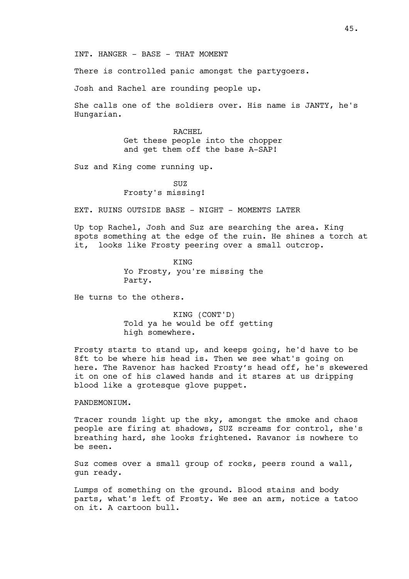INT. HANGER - BASE - THAT MOMENT

There is controlled panic amongst the partygoers.

Josh and Rachel are rounding people up.

She calls one of the soldiers over. His name is JANTY, he's Hungarian.

> RACHEL Get these people into the chopper and get them off the base A-SAP!

Suz and King come running up.

SUZ Frosty's missing!

EXT. RUINS OUTSIDE BASE - NIGHT - MOMENTS LATER

Up top Rachel, Josh and Suz are searching the area. King spots something at the edge of the ruin. He shines a torch at it, looks like Frosty peering over a small outcrop.

> **KTNG** Yo Frosty, you're missing the Party.

He turns to the others.

KING (CONT'D) Told ya he would be off getting high somewhere.

Frosty starts to stand up, and keeps going, he'd have to be 8ft to be where his head is. Then we see what's going on here. The Ravenor has hacked Frosty's head off, he's skewered it on one of his clawed hands and it stares at us dripping blood like a grotesque glove puppet.

PANDEMONIUM.

Tracer rounds light up the sky, amongst the smoke and chaos people are firing at shadows, SUZ screams for control, she's breathing hard, she looks frightened. Ravanor is nowhere to be seen.

Suz comes over a small group of rocks, peers round a wall, gun ready.

Lumps of something on the ground. Blood stains and body parts, what's left of Frosty. We see an arm, notice a tatoo on it. A cartoon bull.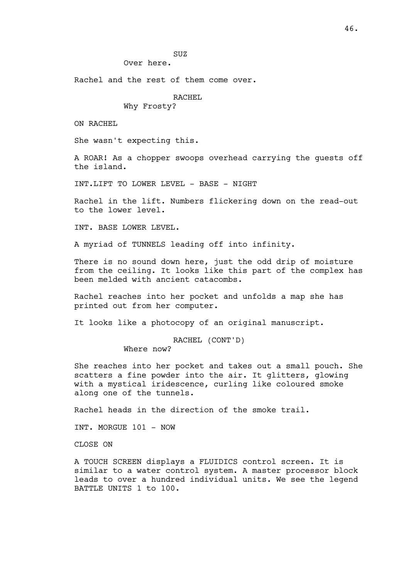SUZ

Over here.

Rachel and the rest of them come over.

# RACHEL

Why Frosty?

ON RACHEL

She wasn't expecting this.

A ROAR! As a chopper swoops overhead carrying the guests off the island.

INT.LIFT TO LOWER LEVEL - BASE - NIGHT

Rachel in the lift. Numbers flickering down on the read-out to the lower level.

INT. BASE LOWER LEVEL.

A myriad of TUNNELS leading off into infinity.

There is no sound down here, just the odd drip of moisture from the ceiling. It looks like this part of the complex has been melded with ancient catacombs.

Rachel reaches into her pocket and unfolds a map she has printed out from her computer.

It looks like a photocopy of an original manuscript.

# RACHEL (CONT'D)

Where now?

She reaches into her pocket and takes out a small pouch. She scatters a fine powder into the air. It glitters, glowing with a mystical iridescence, curling like coloured smoke along one of the tunnels.

Rachel heads in the direction of the smoke trail.

INT. MORGUE 101 - NOW

CLOSE ON

A TOUCH SCREEN displays a FLUIDICS control screen. It is similar to a water control system. A master processor block leads to over a hundred individual units. We see the legend BATTLE UNITS 1 to 100.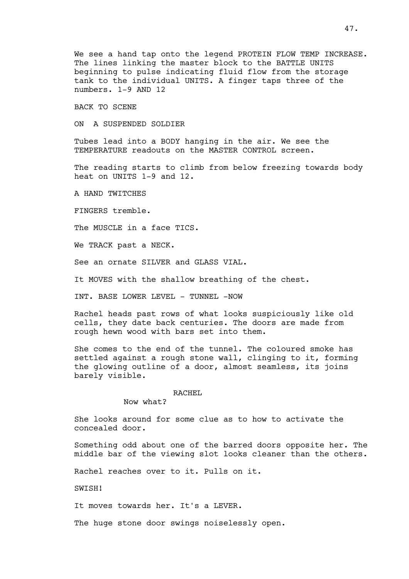We see a hand tap onto the legend PROTEIN FLOW TEMP INCREASE. The lines linking the master block to the BATTLE UNITS beginning to pulse indicating fluid flow from the storage tank to the individual UNITS. A finger taps three of the numbers. 1-9 AND 12

BACK TO SCENE

ON A SUSPENDED SOLDIER

Tubes lead into a BODY hanging in the air. We see the TEMPERATURE readouts on the MASTER CONTROL screen.

The reading starts to climb from below freezing towards body heat on UNITS 1-9 and 12.

A HAND TWITCHES

FINGERS tremble.

The MUSCLE in a face TICS.

We TRACK past a NECK.

See an ornate SILVER and GLASS VIAL.

It MOVES with the shallow breathing of the chest.

INT. BASE LOWER LEVEL - TUNNEL -NOW

Rachel heads past rows of what looks suspiciously like old cells, they date back centuries. The doors are made from rough hewn wood with bars set into them.

She comes to the end of the tunnel. The coloured smoke has settled against a rough stone wall, clinging to it, forming the glowing outline of a door, almost seamless, its joins barely visible.

#### RACHEL

Now what?

She looks around for some clue as to how to activate the concealed door.

Something odd about one of the barred doors opposite her. The middle bar of the viewing slot looks cleaner than the others.

Rachel reaches over to it. Pulls on it.

SWISH!

It moves towards her. It's a LEVER.

The huge stone door swings noiselessly open.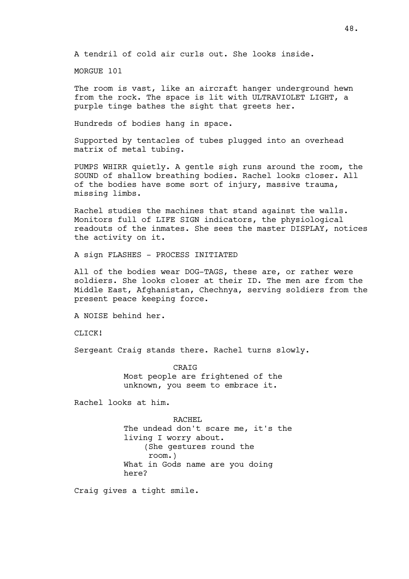A tendril of cold air curls out. She looks inside.

MORGUE 101

The room is vast, like an aircraft hanger underground hewn from the rock. The space is lit with ULTRAVIOLET LIGHT, a purple tinge bathes the sight that greets her.

Hundreds of bodies hang in space.

Supported by tentacles of tubes plugged into an overhead matrix of metal tubing.

PUMPS WHIRR quietly. A gentle sigh runs around the room, the SOUND of shallow breathing bodies. Rachel looks closer. All of the bodies have some sort of injury, massive trauma, missing limbs.

Rachel studies the machines that stand against the walls. Monitors full of LIFE SIGN indicators, the physiological readouts of the inmates. She sees the master DISPLAY, notices the activity on it.

A sign FLASHES - PROCESS INITIATED

All of the bodies wear DOG-TAGS, these are, or rather were soldiers. She looks closer at their ID. The men are from the Middle East, Afghanistan, Chechnya, serving soldiers from the present peace keeping force.

A NOISE behind her.

CLICK!

Sergeant Craig stands there. Rachel turns slowly.

CRAIG Most people are frightened of the unknown, you seem to embrace it.

Rachel looks at him.

RACHEL The undead don't scare me, it's the living I worry about. (She gestures round the room.) What in Gods name are you doing here?

Craig gives a tight smile.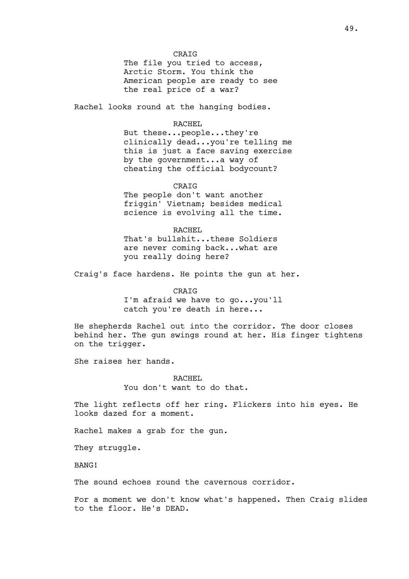CRAIG

The file you tried to access, Arctic Storm. You think the American people are ready to see the real price of a war?

Rachel looks round at the hanging bodies.

## RACHEL

But these...people...they're clinically dead...you're telling me this is just a face saving exercise by the government...a way of cheating the official bodycount?

CRAIG

The people don't want another friggin' Vietnam; besides medical science is evolving all the time.

RACHEL That's bullshit...these Soldiers are never coming back...what are you really doing here?

Craig's face hardens. He points the gun at her.

CRATG I'm afraid we have to go...you'll catch you're death in here...

He shepherds Rachel out into the corridor. The door closes behind her. The gun swings round at her. His finger tightens on the trigger.

She raises her hands.

RACHEL You don't want to do that.

The light reflects off her ring. Flickers into his eyes. He looks dazed for a moment.

Rachel makes a grab for the gun.

They struggle.

BANG!

The sound echoes round the cavernous corridor.

For a moment we don't know what's happened. Then Craig slides to the floor. He's DEAD.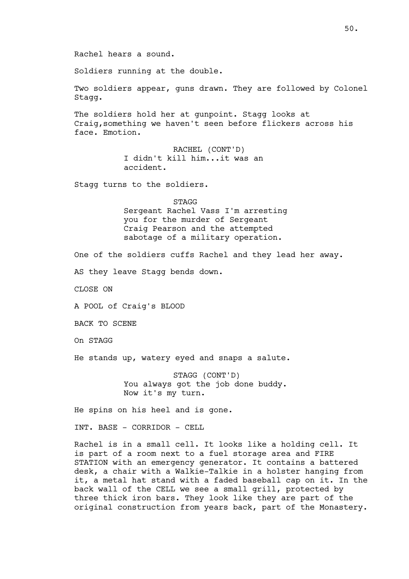Rachel hears a sound.

Soldiers running at the double.

Two soldiers appear, guns drawn. They are followed by Colonel Stagg.

The soldiers hold her at gunpoint. Stagg looks at Craig,something we haven't seen before flickers across his face. Emotion.

> RACHEL (CONT'D) I didn't kill him...it was an accident.

Stagg turns to the soldiers.

#### **STAGG**

Sergeant Rachel Vass I'm arresting you for the murder of Sergeant Craig Pearson and the attempted sabotage of a military operation.

One of the soldiers cuffs Rachel and they lead her away.

AS they leave Stagg bends down.

CLOSE ON

A POOL of Craig's BLOOD

BACK TO SCENE

On STAGG

He stands up, watery eyed and snaps a salute.

STAGG (CONT'D) You always got the job done buddy. Now it's my turn.

He spins on his heel and is gone.

INT. BASE - CORRIDOR - CELL

Rachel is in a small cell. It looks like a holding cell. It is part of a room next to a fuel storage area and FIRE STATION with an emergency generator. It contains a battered desk, a chair with a Walkie-Talkie in a holster hanging from it, a metal hat stand with a faded baseball cap on it. In the back wall of the CELL we see a small grill, protected by three thick iron bars. They look like they are part of the original construction from years back, part of the Monastery.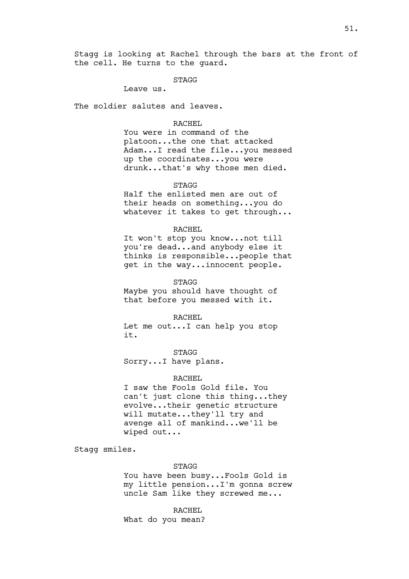STAGG

Leave us.

The soldier salutes and leaves.

## RACHEL

You were in command of the platoon...the one that attacked Adam...I read the file...you messed up the coordinates...you were drunk...that's why those men died.

STAGG

Half the enlisted men are out of their heads on something...you do whatever it takes to get through...

## RACHEL

It won't stop you know...not till you're dead...and anybody else it thinks is responsible...people that get in the way...innocent people.

## STAGG

Maybe you should have thought of that before you messed with it.

#### RACHEL

Let me out...I can help you stop it.

STAGG Sorry...I have plans.

## RACHEL

I saw the Fools Gold file. You can't just clone this thing...they evolve...their genetic structure will mutate...they'll try and avenge all of mankind...we'll be wiped out...

Stagg smiles.

## STAGG

You have been busy...Fools Gold is my little pension...I'm gonna screw uncle Sam like they screwed me...

RACHEL

What do you mean?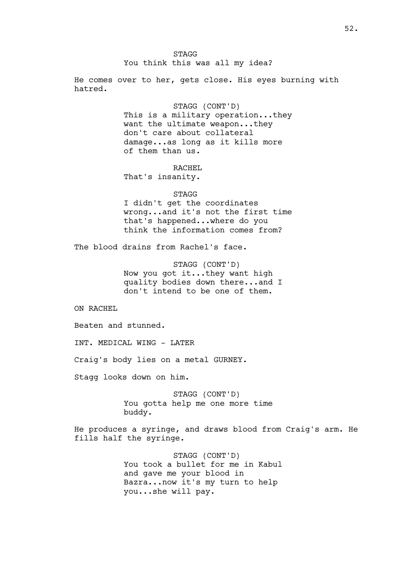STAGG

You think this was all my idea?

He comes over to her, gets close. His eyes burning with hatred.

> STAGG (CONT'D) This is a military operation...they want the ultimate weapon...they don't care about collateral damage...as long as it kills more of them than us.

RACHEL That's insanity.

#### STAGG

I didn't get the coordinates wrong...and it's not the first time that's happened...where do you think the information comes from?

The blood drains from Rachel's face.

STAGG (CONT'D) Now you got it...they want high quality bodies down there...and I don't intend to be one of them.

ON RACHEL

Beaten and stunned.

INT. MEDICAL WING - LATER

Craig's body lies on a metal GURNEY.

Stagg looks down on him.

STAGG (CONT'D) You gotta help me one more time buddy.

He produces a syringe, and draws blood from Craig's arm. He fills half the syringe.

> STAGG (CONT'D) You took a bullet for me in Kabul and gave me your blood in Bazra...now it's my turn to help you...she will pay.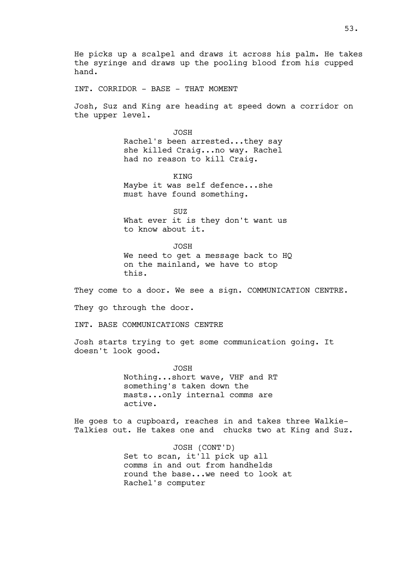He picks up a scalpel and draws it across his palm. He takes the syringe and draws up the pooling blood from his cupped hand.

INT. CORRIDOR - BASE - THAT MOMENT

Josh, Suz and King are heading at speed down a corridor on the upper level.

> JOSH Rachel's been arrested...they say she killed Craig...no way. Rachel had no reason to kill Craig.

**KTNG** Maybe it was self defence...she must have found something.

SUZ What ever it is they don't want us to know about it.

JOSH We need to get a message back to HQ on the mainland, we have to stop this.

They come to a door. We see a sign. COMMUNICATION CENTRE.

They go through the door.

INT. BASE COMMUNICATIONS CENTRE

Josh starts trying to get some communication going. It doesn't look good.

> JOSH Nothing...short wave, VHF and RT something's taken down the masts...only internal comms are active.

He goes to a cupboard, reaches in and takes three Walkie-Talkies out. He takes one and chucks two at King and Suz.

> JOSH (CONT'D) Set to scan, it'll pick up all comms in and out from handhelds round the base...we need to look at Rachel's computer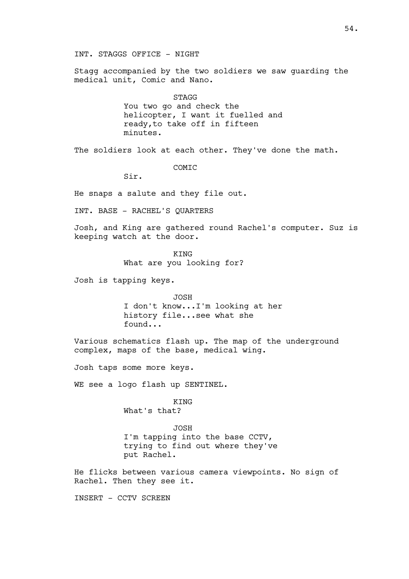Stagg accompanied by the two soldiers we saw guarding the medical unit, Comic and Nano.

**STAGG** 

You two go and check the helicopter, I want it fuelled and ready,to take off in fifteen minutes.

The soldiers look at each other. They've done the math.

COMIC

Sir.

He snaps a salute and they file out.

INT. BASE - RACHEL'S QUARTERS

Josh, and King are gathered round Rachel's computer. Suz is keeping watch at the door.

> **KTNG** What are you looking for?

Josh is tapping keys.

JOSH I don't know...I'm looking at her history file...see what she found...

Various schematics flash up. The map of the underground complex, maps of the base, medical wing.

Josh taps some more keys.

WE see a logo flash up SENTINEL.

KING What's that?

JOSH I'm tapping into the base CCTV, trying to find out where they've put Rachel.

He flicks between various camera viewpoints. No sign of Rachel. Then they see it.

INSERT - CCTV SCREEN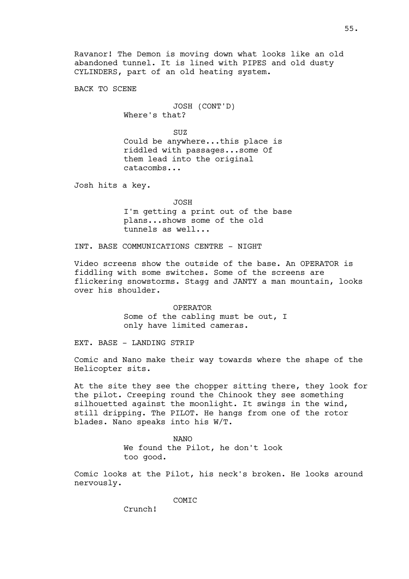BACK TO SCENE

JOSH (CONT'D) Where's that?

SUZ

Could be anywhere...this place is riddled with passages...some Of them lead into the original catacombs...

Josh hits a key.

JOSH

I'm getting a print out of the base plans...shows some of the old tunnels as well...

INT. BASE COMMUNICATIONS CENTRE - NIGHT

Video screens show the outside of the base. An OPERATOR is fiddling with some switches. Some of the screens are flickering snowstorms. Stagg and JANTY a man mountain, looks over his shoulder.

> OPERATOR Some of the cabling must be out, I only have limited cameras.

EXT. BASE - LANDING STRIP

Comic and Nano make their way towards where the shape of the Helicopter sits.

At the site they see the chopper sitting there, they look for the pilot. Creeping round the Chinook they see something silhouetted against the moonlight. It swings in the wind, still dripping. The PILOT. He hangs from one of the rotor blades. Nano speaks into his W/T.

> NANO We found the Pilot, he don't look too good.

Comic looks at the Pilot, his neck's broken. He looks around nervously.

COMIC

Crunch!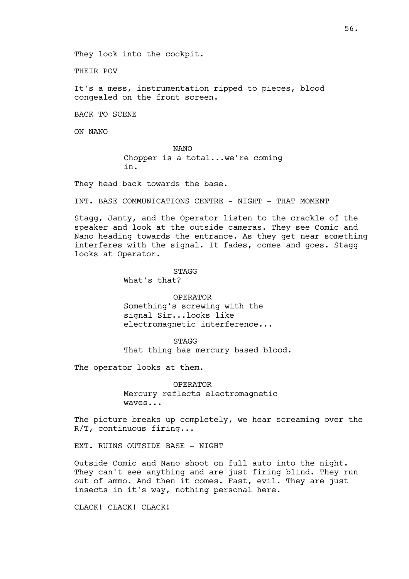They look into the cockpit.

THEIR POV

It's a mess, instrumentation ripped to pieces, blood congealed on the front screen.

BACK TO SCENE

ON NANO

NANO Chopper is a total...we're coming in.

They head back towards the base.

INT. BASE COMMUNICATIONS CENTRE - NIGHT - THAT MOMENT

Stagg, Janty, and the Operator listen to the crackle of the speaker and look at the outside cameras. They see Comic and Nano heading towards the entrance. As they get near something interferes with the signal. It fades, comes and goes. Stagg looks at Operator.

STAGG

What's that?

OPERATOR Something's screwing with the signal Sir...looks like electromagnetic interference...

STAGG That thing has mercury based blood.

The operator looks at them.

OPERATOR Mercury reflects electromagnetic waves...

The picture breaks up completely, we hear screaming over the R/T, continuous firing...

EXT. RUINS OUTSIDE BASE - NIGHT

Outside Comic and Nano shoot on full auto into the night. They can't see anything and are just firing blind. They run out of ammo. And then it comes. Fast, evil. They are just insects in it's way, nothing personal here.

CLACK! CLACK! CLACK!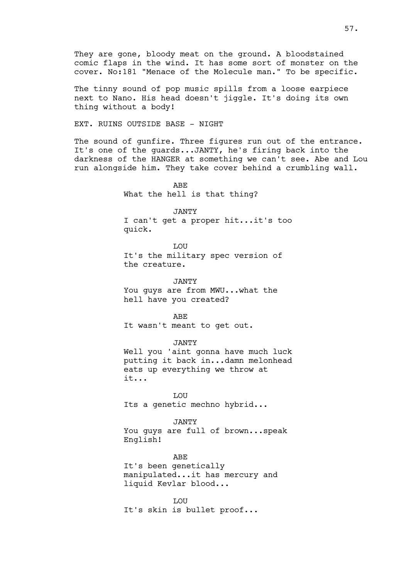The tinny sound of pop music spills from a loose earpiece next to Nano. His head doesn't jiggle. It's doing its own thing without a body!

EXT. RUINS OUTSIDE BASE - NIGHT

The sound of gunfire. Three figures run out of the entrance. It's one of the guards...JANTY, he's firing back into the darkness of the HANGER at something we can't see. Abe and Lou run alongside him. They take cover behind a crumbling wall.

> ABE What the hell is that thing?

JANTY I can't get a proper hit...it's too quick.

**T.OU** It's the military spec version of the creature.

JANTY You quys are from MWU...what the hell have you created?

ABE It wasn't meant to get out.

JANTY Well you 'aint gonna have much luck putting it back in...damn melonhead eats up everything we throw at it...

LOU Its a genetic mechno hybrid...

JANTY You guys are full of brown...speak English!

ABE It's been genetically manipulated...it has mercury and liquid Kevlar blood...

T.OIT It's skin is bullet proof...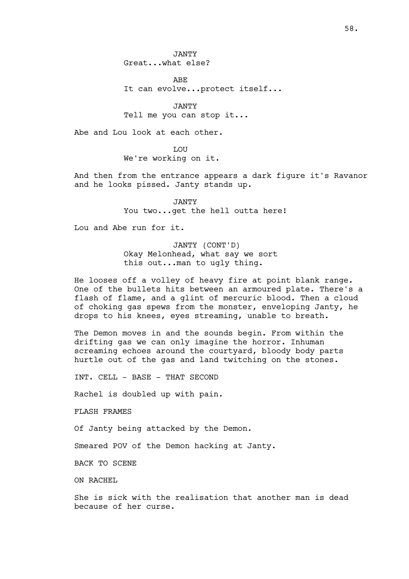JANTY Great...what else?

ABE It can evolve...protect itself...

JANTY Tell me you can stop it...

Abe and Lou look at each other.

**T.OTT** We're working on it.

And then from the entrance appears a dark figure it's Ravanor and he looks pissed. Janty stands up.

> JANTY You two...get the hell outta here!

Lou and Abe run for it.

JANTY (CONT'D) Okay Melonhead, what say we sort this out...man to ugly thing.

He looses off a volley of heavy fire at point blank range. One of the bullets hits between an armoured plate. There's a flash of flame, and a glint of mercuric blood. Then a cloud of choking gas spews from the monster, enveloping Janty, he drops to his knees, eyes streaming, unable to breath.

The Demon moves in and the sounds begin. From within the drifting gas we can only imagine the horror. Inhuman screaming echoes around the courtyard, bloody body parts hurtle out of the gas and land twitching on the stones.

INT. CELL - BASE - THAT SECOND

Rachel is doubled up with pain.

FLASH FRAMES

Of Janty being attacked by the Demon.

Smeared POV of the Demon hacking at Janty.

BACK TO SCENE

ON RACHEL

She is sick with the realisation that another man is dead because of her curse.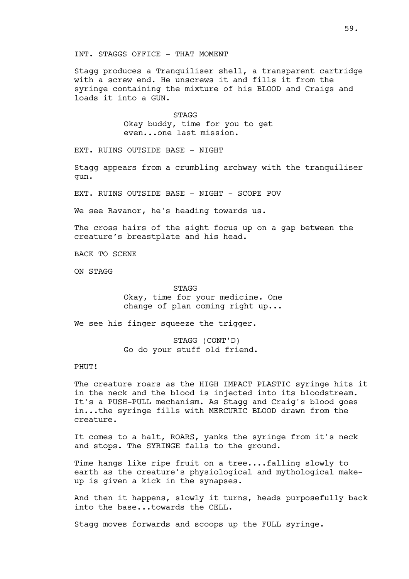## INT. STAGGS OFFICE - THAT MOMENT

Stagg produces a Tranquiliser shell, a transparent cartridge with a screw end. He unscrews it and fills it from the syringe containing the mixture of his BLOOD and Craigs and loads it into a GUN.

> STAGG Okay buddy, time for you to get even...one last mission.

EXT. RUINS OUTSIDE BASE - NIGHT

Stagg appears from a crumbling archway with the tranquiliser gun.

EXT. RUINS OUTSIDE BASE - NIGHT - SCOPE POV

We see Ravanor, he's heading towards us.

The cross hairs of the sight focus up on a gap between the creature's breastplate and his head.

BACK TO SCENE

ON STAGG

STAGG

Okay, time for your medicine. One change of plan coming right up...

We see his finger squeeze the trigger.

STAGG (CONT'D) Go do your stuff old friend.

# PHUT!

The creature roars as the HIGH IMPACT PLASTIC syringe hits it in the neck and the blood is injected into its bloodstream. It's a PUSH-PULL mechanism. As Stagg and Craig's blood goes in...the syringe fills with MERCURIC BLOOD drawn from the creature.

It comes to a halt, ROARS, yanks the syringe from it's neck and stops. The SYRINGE falls to the ground.

Time hangs like ripe fruit on a tree....falling slowly to earth as the creature's physiological and mythological makeup is given a kick in the synapses.

And then it happens, slowly it turns, heads purposefully back into the base...towards the CELL.

Stagg moves forwards and scoops up the FULL syringe.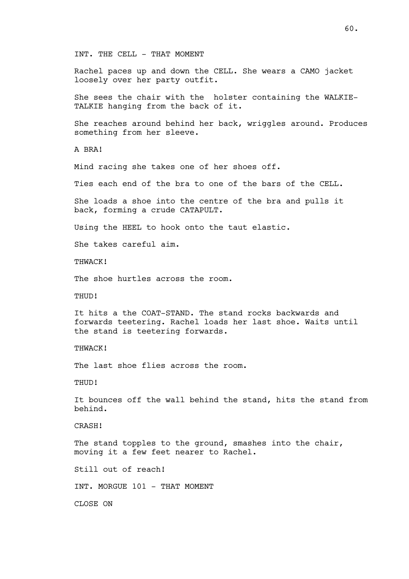INT. THE CELL - THAT MOMENT

Rachel paces up and down the CELL. She wears a CAMO jacket loosely over her party outfit.

She sees the chair with the holster containing the WALKIE-TALKIE hanging from the back of it.

She reaches around behind her back, wriggles around. Produces something from her sleeve.

A BRA!

Mind racing she takes one of her shoes off.

Ties each end of the bra to one of the bars of the CELL.

She loads a shoe into the centre of the bra and pulls it back, forming a crude CATAPULT.

Using the HEEL to hook onto the taut elastic.

She takes careful aim.

THWACK!

The shoe hurtles across the room.

THUD!

It hits a the COAT-STAND. The stand rocks backwards and forwards teetering. Rachel loads her last shoe. Waits until the stand is teetering forwards.

THWACK!

The last shoe flies across the room.

THUD!

It bounces off the wall behind the stand, hits the stand from behind.

CRASH!

The stand topples to the ground, smashes into the chair, moving it a few feet nearer to Rachel.

Still out of reach!

INT. MORGUE 101 - THAT MOMENT

CLOSE ON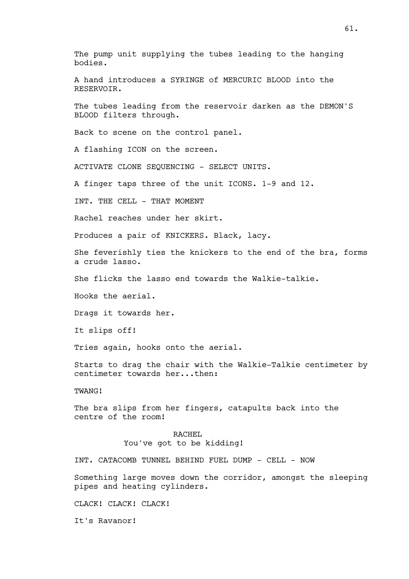The pump unit supplying the tubes leading to the hanging bodies.

A hand introduces a SYRINGE of MERCURIC BLOOD into the RESERVOIR.

The tubes leading from the reservoir darken as the DEMON'S BLOOD filters through.

Back to scene on the control panel.

A flashing ICON on the screen.

ACTIVATE CLONE SEQUENCING - SELECT UNITS.

A finger taps three of the unit ICONS. 1-9 and 12.

INT. THE CELL - THAT MOMENT

Rachel reaches under her skirt.

Produces a pair of KNICKERS. Black, lacy.

She feverishly ties the knickers to the end of the bra, forms a crude lasso.

She flicks the lasso end towards the Walkie-talkie.

Hooks the aerial.

Drags it towards her.

It slips off!

Tries again, hooks onto the aerial.

Starts to drag the chair with the Walkie-Talkie centimeter by centimeter towards her...then:

TWANG!

The bra slips from her fingers, catapults back into the centre of the room!

> RACHEL You've got to be kidding!

INT. CATACOMB TUNNEL BEHIND FUEL DUMP - CELL - NOW

Something large moves down the corridor, amongst the sleeping pipes and heating cylinders.

CLACK! CLACK! CLACK!

It's Ravanor!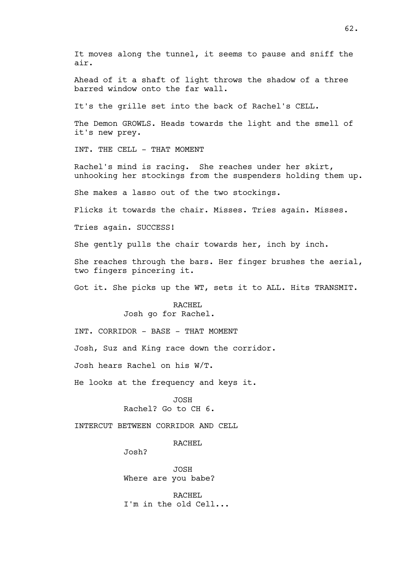It moves along the tunnel, it seems to pause and sniff the air.

Ahead of it a shaft of light throws the shadow of a three barred window onto the far wall.

It's the grille set into the back of Rachel's CELL.

The Demon GROWLS. Heads towards the light and the smell of it's new prey.

INT. THE CELL - THAT MOMENT

Rachel's mind is racing. She reaches under her skirt, unhooking her stockings from the suspenders holding them up.

She makes a lasso out of the two stockings.

Flicks it towards the chair. Misses. Tries again. Misses.

Tries again. SUCCESS!

She gently pulls the chair towards her, inch by inch.

She reaches through the bars. Her finger brushes the aerial, two fingers pincering it.

Got it. She picks up the WT, sets it to ALL. Hits TRANSMIT.

RACHEL Josh go for Rachel.

INT. CORRIDOR - BASE - THAT MOMENT

Josh, Suz and King race down the corridor.

Josh hears Rachel on his W/T.

He looks at the frequency and keys it.

JOSH Rachel? Go to CH 6.

INTERCUT BETWEEN CORRIDOR AND CELL

RACHEL

Josh?

JOSH Where are you babe?

RACHEL I'm in the old Cell...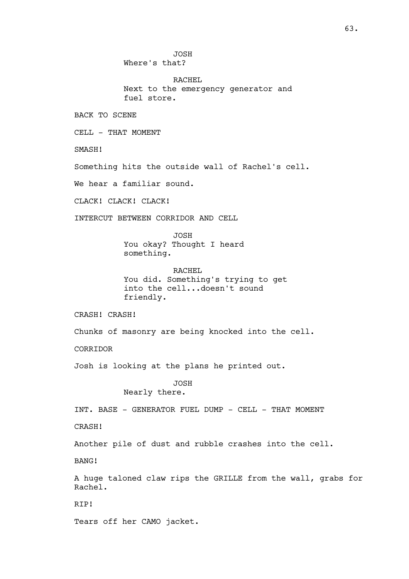JOSH

Where's that?

RACHEL Next to the emergency generator and fuel store.

BACK TO SCENE

CELL - THAT MOMENT

SMASH!

Something hits the outside wall of Rachel's cell.

We hear a familiar sound.

CLACK! CLACK! CLACK!

INTERCUT BETWEEN CORRIDOR AND CELL

JOSH You okay? Thought I heard something.

RACHEL You did. Something's trying to get into the cell...doesn't sound friendly.

CRASH! CRASH!

Chunks of masonry are being knocked into the cell.

CORRIDOR

Josh is looking at the plans he printed out.

JOSH

Nearly there.

INT. BASE - GENERATOR FUEL DUMP - CELL - THAT MOMENT

CRASH!

Another pile of dust and rubble crashes into the cell.

BANG!

A huge taloned claw rips the GRILLE from the wall, grabs for Rachel.

RIP!

Tears off her CAMO jacket.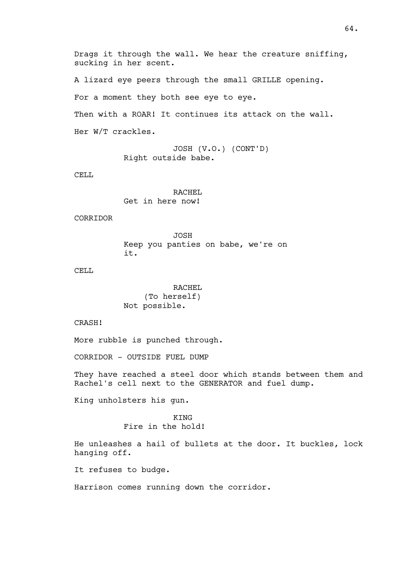Drags it through the wall. We hear the creature sniffing, sucking in her scent. A lizard eye peers through the small GRILLE opening. For a moment they both see eye to eye. Then with a ROAR! It continues its attack on the wall. Her W/T crackles.

> JOSH (V.O.) (CONT'D) Right outside babe.

CELL

RACHEL Get in here now!

CORRIDOR

JOSH Keep you panties on babe, we're on it.

CELL<sub>L</sub>

RACHEL (To herself) Not possible.

CRASH!

More rubble is punched through.

CORRIDOR - OUTSIDE FUEL DUMP

They have reached a steel door which stands between them and Rachel's cell next to the GENERATOR and fuel dump.

King unholsters his gun.

**KTNG** Fire in the hold!

He unleashes a hail of bullets at the door. It buckles, lock hanging off.

It refuses to budge.

Harrison comes running down the corridor.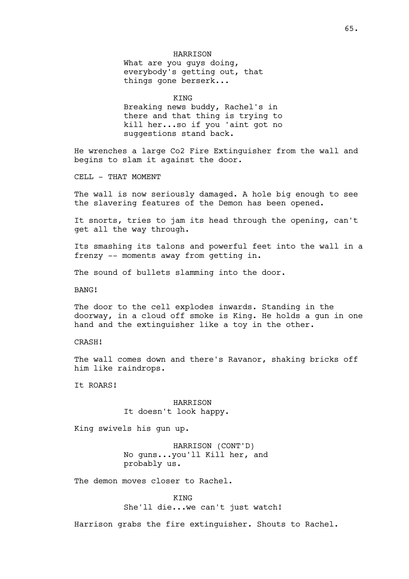# HARRISON

What are you guys doing, everybody's getting out, that things gone berserk...

KING

Breaking news buddy, Rachel's in there and that thing is trying to kill her...so if you 'aint got no suggestions stand back.

He wrenches a large Co2 Fire Extinguisher from the wall and begins to slam it against the door.

CELL - THAT MOMENT

The wall is now seriously damaged. A hole big enough to see the slavering features of the Demon has been opened.

It snorts, tries to jam its head through the opening, can't get all the way through.

Its smashing its talons and powerful feet into the wall in a frenzy -- moments away from getting in.

The sound of bullets slamming into the door.

BANG!

The door to the cell explodes inwards. Standing in the doorway, in a cloud off smoke is King. He holds a gun in one hand and the extinguisher like a toy in the other.

CRASH!

The wall comes down and there's Ravanor, shaking bricks off him like raindrops.

It ROARS!

HARRISON It doesn't look happy.

King swivels his gun up.

HARRISON (CONT'D) No guns...you'll Kill her, and probably us.

The demon moves closer to Rachel.

KING She'll die...we can't just watch!

Harrison grabs the fire extinguisher. Shouts to Rachel.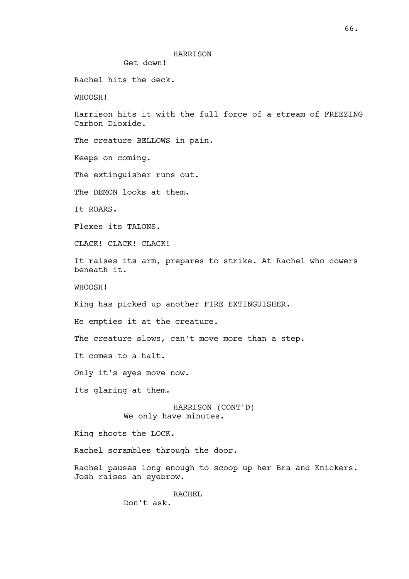# HARRISON

Get down!

Rachel hits the deck.

WHOOSH!

Harrison hits it with the full force of a stream of FREEZING Carbon Dioxide.

The creature BELLOWS in pain.

Keeps on coming.

The extinguisher runs out.

The DEMON looks at them.

It ROARS.

Flexes its TALONS.

CLACK! CLACK! CLACK!

It raises its arm, prepares to strike. At Rachel who cowers beneath it.

WHOOSH!

King has picked up another FIRE EXTINGUISHER.

He empties it at the creature.

The creature slows, can't move more than a step.

It comes to a halt.

Only it's eyes move now.

Its glaring at them.

HARRISON (CONT'D) We only have minutes.

King shoots the LOCK.

Rachel scrambles through the door.

Rachel pauses long enough to scoop up her Bra and Knickers. Josh raises an eyebrow.

> RACHEL Don't ask.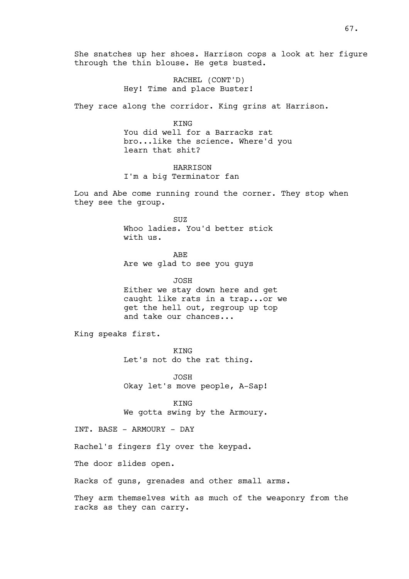She snatches up her shoes. Harrison cops a look at her figure through the thin blouse. He gets busted.

> RACHEL (CONT'D) Hey! Time and place Buster!

They race along the corridor. King grins at Harrison.

KING You did well for a Barracks rat bro...like the science. Where'd you learn that shit?

**HARRISON** I'm a big Terminator fan

Lou and Abe come running round the corner. They stop when they see the group.

> SUZ Whoo ladies. You'd better stick with us.

ABE Are we glad to see you guys

JOSH Either we stay down here and get caught like rats in a trap...or we get the hell out, regroup up top and take our chances...

King speaks first.

KING Let's not do the rat thing.

JOSH Okay let's move people, A-Sap!

KING We gotta swing by the Armoury.

INT. BASE - ARMOURY - DAY

Rachel's fingers fly over the keypad.

The door slides open.

Racks of guns, grenades and other small arms.

They arm themselves with as much of the weaponry from the racks as they can carry.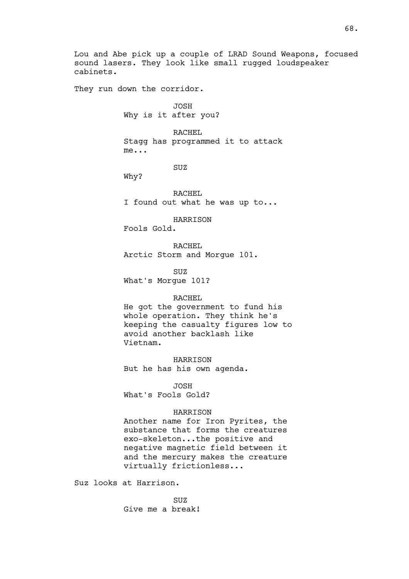Lou and Abe pick up a couple of LRAD Sound Weapons, focused sound lasers. They look like small rugged loudspeaker cabinets.

They run down the corridor.

JOSH Why is it after you?

RACHEL Stagg has programmed it to attack me...

SUZ

Why?

RACHEL I found out what he was up to...

HARRISON

Fools Gold.

RACHEL Arctic Storm and Morgue 101.

SUZ What's Morgue 101?

## RACHEL

He got the government to fund his whole operation. They think he's keeping the casualty figures low to avoid another backlash like Vietnam.

HARRISON But he has his own agenda.

JOSH What's Fools Gold?

# HARRISON

Another name for Iron Pyrites, the substance that forms the creatures exo-skeleton...the positive and negative magnetic field between it and the mercury makes the creature virtually frictionless...

Suz looks at Harrison.

SUZ Give me a break!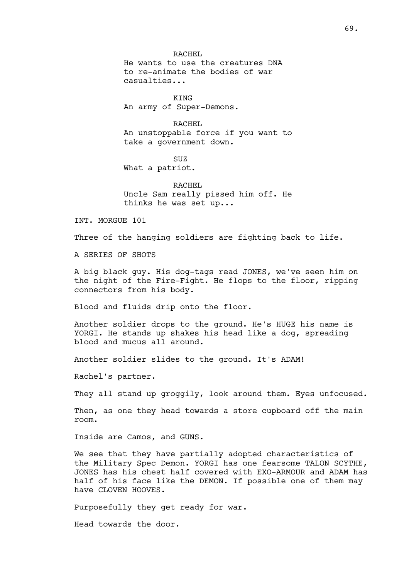RACHEL He wants to use the creatures DNA to re-animate the bodies of war casualties...

KING An army of Super-Demons.

RACHEL An unstoppable force if you want to take a government down.

SUZ What a patriot.

RACHEL Uncle Sam really pissed him off. He thinks he was set up...

INT. MORGUE 101

Three of the hanging soldiers are fighting back to life.

A SERIES OF SHOTS

A big black guy. His dog-tags read JONES, we've seen him on the night of the Fire-Fight. He flops to the floor, ripping connectors from his body.

Blood and fluids drip onto the floor.

Another soldier drops to the ground. He's HUGE his name is YORGI. He stands up shakes his head like a dog, spreading blood and mucus all around.

Another soldier slides to the ground. It's ADAM!

Rachel's partner.

They all stand up groggily, look around them. Eyes unfocused.

Then, as one they head towards a store cupboard off the main room.

Inside are Camos, and GUNS.

We see that they have partially adopted characteristics of the Military Spec Demon. YORGI has one fearsome TALON SCYTHE, JONES has his chest half covered with EXO-ARMOUR and ADAM has half of his face like the DEMON. If possible one of them may have CLOVEN HOOVES.

Purposefully they get ready for war.

Head towards the door.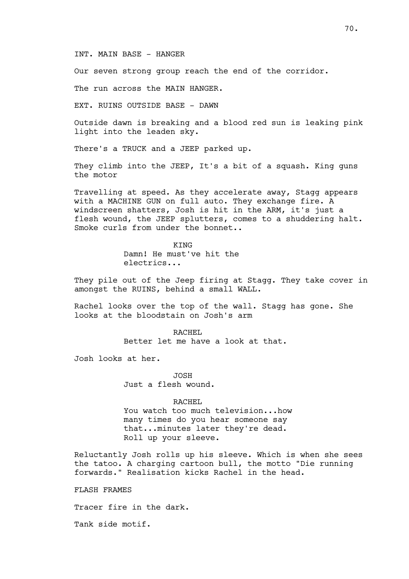## INT. MAIN BASE - HANGER

Our seven strong group reach the end of the corridor.

The run across the MAIN HANGER.

EXT. RUINS OUTSIDE BASE - DAWN

Outside dawn is breaking and a blood red sun is leaking pink light into the leaden sky.

There's a TRUCK and a JEEP parked up.

They climb into the JEEP, It's a bit of a squash. King guns the motor

Travelling at speed. As they accelerate away, Stagg appears with a MACHINE GUN on full auto. They exchange fire. A windscreen shatters, Josh is hit in the ARM, it's just a flesh wound, the JEEP splutters, comes to a shuddering halt. Smoke curls from under the bonnet..

> KING Damn! He must've hit the electrics...

They pile out of the Jeep firing at Stagg. They take cover in amongst the RUINS, behind a small WALL.

Rachel looks over the top of the wall. Stagg has gone. She looks at the bloodstain on Josh's arm

> RACHEL Better let me have a look at that.

Josh looks at her.

JOSH Just a flesh wound.

# RACHEL

You watch too much television...how many times do you hear someone say that...minutes later they're dead. Roll up your sleeve.

Reluctantly Josh rolls up his sleeve. Which is when she sees the tatoo. A charging cartoon bull, the motto "Die running forwards." Realisation kicks Rachel in the head.

FLASH FRAMES

Tracer fire in the dark.

Tank side motif.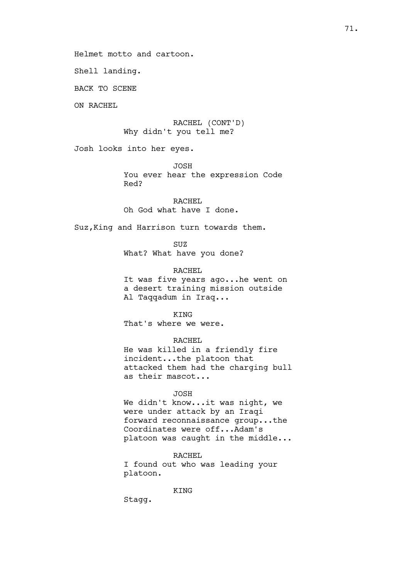Helmet motto and cartoon.

Shell landing.

BACK TO SCENE

ON RACHEL

RACHEL (CONT'D) Why didn't you tell me?

Josh looks into her eyes.

JOSH

You ever hear the expression Code Red?

RACHEL Oh God what have I done.

Suz,King and Harrison turn towards them.

SUZ What? What have you done?

RACHEL It was five years ago...he went on a desert training mission outside Al Taqqadum in Iraq...

KING That's where we were.

RACHEL He was killed in a friendly fire incident...the platoon that attacked them had the charging bull as their mascot...

# JOSH

We didn't know...it was night, we were under attack by an Iraqi forward reconnaissance group...the Coordinates were off...Adam's platoon was caught in the middle...

RACHEL I found out who was leading your platoon.

**KTNG** 

Stagg.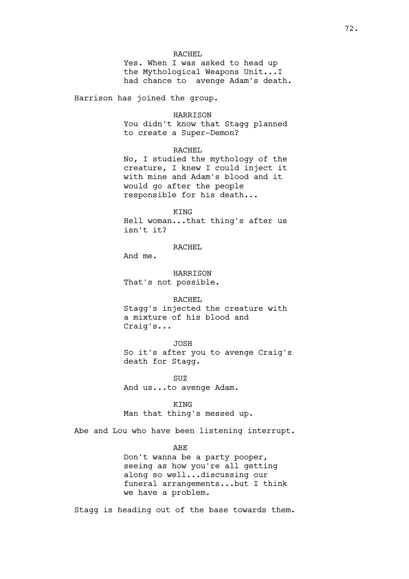## RACHEL

Yes. When I was asked to head up the Mythological Weapons Unit...I had chance to avenge Adam's death.

Harrison has joined the group.

#### HARRISON

You didn't know that Stagg planned to create a Super-Demon?

# RACHEL

No, I studied the mythology of the creature, I knew I could inject it with mine and Adam's blood and it would go after the people responsible for his death...

### KING

Hell woman...that thing's after us isn't it?

## RACHEL

And me.

HARRISON That's not possible.

#### RACHEL

Stagg's injected the creature with a mixture of his blood and Craig's...

### JOSH

So it's after you to avenge Craig's death for Stagg.

SUZ And us...to avenge Adam.

# KING Man that thing's messed up.

Abe and Lou who have been listening interrupt.

# ABE

Don't wanna be a party pooper, seeing as how you're all getting along so well...discussing our funeral arrangements...but I think we have a problem.

Stagg is heading out of the base towards them.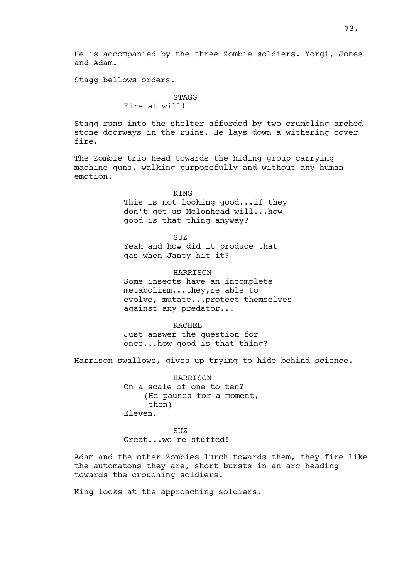He is accompanied by the three Zombie soldiers. Yorgi, Jones and Adam.

Stagg bellows orders.

## **STAGG**

# Fire at will!

Stagg runs into the shelter afforded by two crumbling arched stone doorways in the ruins. He lays down a withering cover fire.

The Zombie trio head towards the hiding group carrying machine guns, walking purposefully and without any human emotion.

> **KTNG** This is not looking good...if they don't get us Melonhead will...how good is that thing anyway?

> > SUZ

Yeah and how did it produce that gas when Janty hit it?

**HARRISON** Some insects have an incomplete metabolism...they,re able to evolve, mutate...protect themselves

against any predator...

RACHEL Just answer the question for once...how good is that thing?

Harrison swallows, gives up trying to hide behind science.

HARRISON On a scale of one to ten? (He pauses for a moment, then) Eleven.

SUZ Great...we're stuffed!

Adam and the other Zombies lurch towards them, they fire like the automatons they are, short bursts in an arc heading towards the crouching soldiers.

King looks at the approaching soldiers.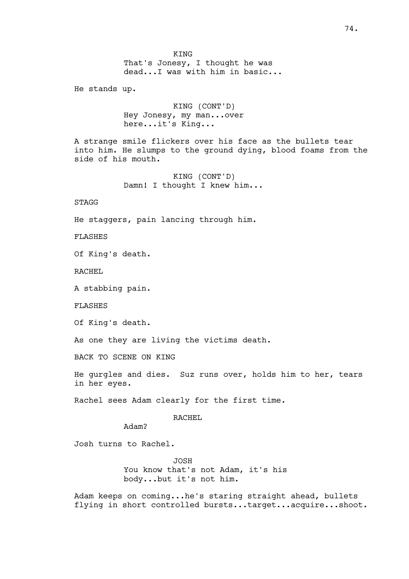KING That's Jonesy, I thought he was dead...I was with him in basic...

He stands up.

KING (CONT'D) Hey Jonesy, my man...over here...it's King...

A strange smile flickers over his face as the bullets tear into him. He slumps to the ground dying, blood foams from the side of his mouth.

> KING (CONT'D) Damn! I thought I knew him...

STAGG

He staggers, pain lancing through him.

FLASHES

Of King's death.

RACHEL

A stabbing pain.

FLASHES

Of King's death.

As one they are living the victims death.

BACK TO SCENE ON KING

He gurgles and dies. Suz runs over, holds him to her, tears in her eyes.

Rachel sees Adam clearly for the first time.

RACHEL

Adam?

Josh turns to Rachel.

JOSH You know that's not Adam, it's his body...but it's not him.

Adam keeps on coming...he's staring straight ahead, bullets flying in short controlled bursts...target...acquire...shoot.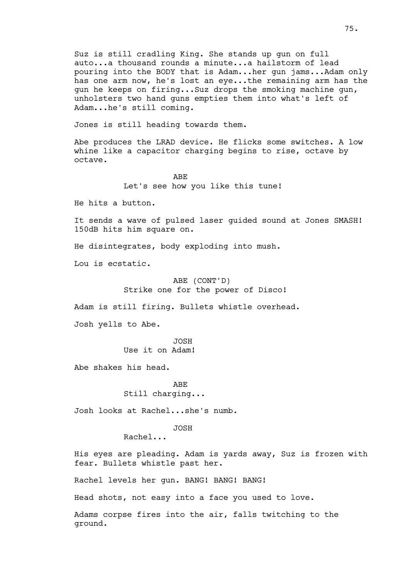Suz is still cradling King. She stands up gun on full auto...a thousand rounds a minute...a hailstorm of lead pouring into the BODY that is Adam...her gun jams...Adam only has one arm now, he's lost an eye...the remaining arm has the gun he keeps on firing...Suz drops the smoking machine gun, unholsters two hand guns empties them into what's left of Adam...he's still coming.

Jones is still heading towards them.

Abe produces the LRAD device. He flicks some switches. A low whine like a capacitor charging begins to rise, octave by octave.

> ABE Let's see how you like this tune!

He hits a button.

It sends a wave of pulsed laser guided sound at Jones SMASH! 150dB hits him square on.

He disintegrates, body exploding into mush.

Lou is ecstatic.

# ABE (CONT'D) Strike one for the power of Disco!

Adam is still firing. Bullets whistle overhead.

Josh yells to Abe.

JOSH Use it on Adam!

Abe shakes his head.

ABE Still charging...

Josh looks at Rachel...she's numb.

JOSH

Rachel...

His eyes are pleading. Adam is yards away, Suz is frozen with fear. Bullets whistle past her.

Rachel levels her gun. BANG! BANG! BANG!

Head shots, not easy into a face you used to love.

Adams corpse fires into the air, falls twitching to the ground.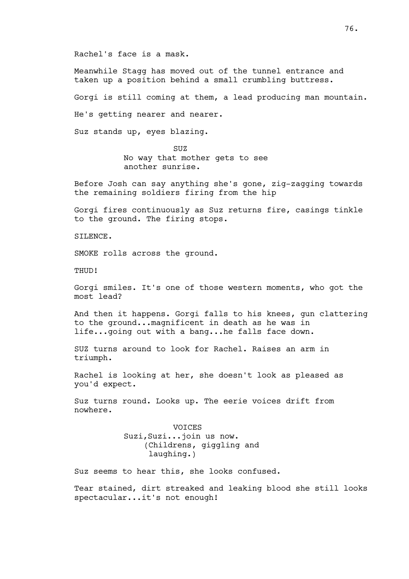Rachel's face is a mask.

Meanwhile Stagg has moved out of the tunnel entrance and taken up a position behind a small crumbling buttress.

Gorgi is still coming at them, a lead producing man mountain.

He's getting nearer and nearer.

Suz stands up, eyes blazing.

SUZ<sub></sub> No way that mother gets to see another sunrise.

Before Josh can say anything she's gone, zig-zagging towards the remaining soldiers firing from the hip

Gorgi fires continuously as Suz returns fire, casings tinkle to the ground. The firing stops.

SILENCE.

SMOKE rolls across the ground.

THUD!

Gorgi smiles. It's one of those western moments, who got the most lead?

And then it happens. Gorgi falls to his knees, gun clattering to the ground...magnificent in death as he was in life...going out with a bang...he falls face down.

SUZ turns around to look for Rachel. Raises an arm in triumph.

Rachel is looking at her, she doesn't look as pleased as you'd expect.

Suz turns round. Looks up. The eerie voices drift from nowhere.

> VOICES Suzi,Suzi...join us now. (Childrens, giggling and laughing.)

Suz seems to hear this, she looks confused.

Tear stained, dirt streaked and leaking blood she still looks spectacular...it's not enough!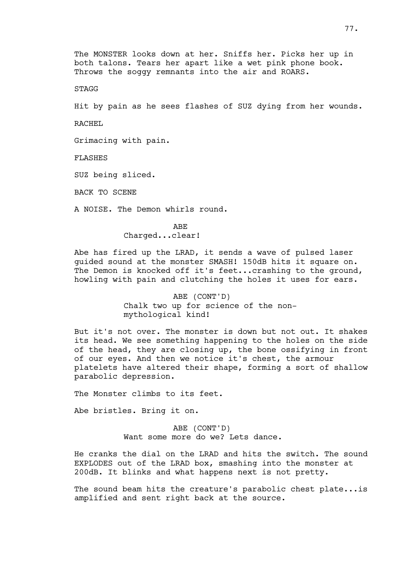The MONSTER looks down at her. Sniffs her. Picks her up in both talons. Tears her apart like a wet pink phone book. Throws the soggy remnants into the air and ROARS.

**STAGG** 

Hit by pain as he sees flashes of SUZ dying from her wounds.

RACHEL

Grimacing with pain.

FLASHES

SUZ being sliced.

BACK TO SCENE

A NOISE. The Demon whirls round.

ABE Charged...clear!

Abe has fired up the LRAD, it sends a wave of pulsed laser guided sound at the monster SMASH! 150dB hits it square on. The Demon is knocked off it's feet...crashing to the ground, howling with pain and clutching the holes it uses for ears.

> ABE (CONT'D) Chalk two up for science of the nonmythological kind!

But it's not over. The monster is down but not out. It shakes its head. We see something happening to the holes on the side of the head, they are closing up, the bone ossifying in front of our eyes. And then we notice it's chest, the armour platelets have altered their shape, forming a sort of shallow parabolic depression.

The Monster climbs to its feet.

Abe bristles. Bring it on.

ABE (CONT'D) Want some more do we? Lets dance.

He cranks the dial on the LRAD and hits the switch. The sound EXPLODES out of the LRAD box, smashing into the monster at 200dB. It blinks and what happens next is not pretty.

The sound beam hits the creature's parabolic chest plate... is amplified and sent right back at the source.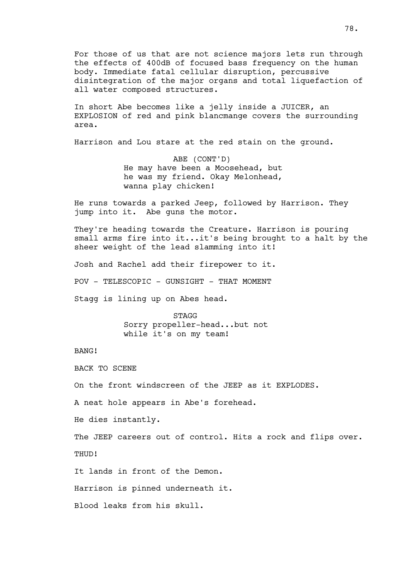For those of us that are not science majors lets run through the effects of 400dB of focused bass frequency on the human body. Immediate fatal cellular disruption, percussive disintegration of the major organs and total liquefaction of all water composed structures.

In short Abe becomes like a jelly inside a JUICER, an EXPLOSION of red and pink blancmange covers the surrounding area.

Harrison and Lou stare at the red stain on the ground.

ABE (CONT'D) He may have been a Moosehead, but he was my friend. Okay Melonhead, wanna play chicken!

He runs towards a parked Jeep, followed by Harrison. They jump into it. Abe guns the motor.

They're heading towards the Creature. Harrison is pouring small arms fire into it...it's being brought to a halt by the sheer weight of the lead slamming into it!

Josh and Rachel add their firepower to it.

POV - TELESCOPIC - GUNSIGHT - THAT MOMENT

Stagg is lining up on Abes head.

STAGG Sorry propeller-head...but not while it's on my team!

BANG!

BACK TO SCENE

On the front windscreen of the JEEP as it EXPLODES.

A neat hole appears in Abe's forehead.

He dies instantly.

The JEEP careers out of control. Hits a rock and flips over. THUD!

It lands in front of the Demon.

Harrison is pinned underneath it.

Blood leaks from his skull.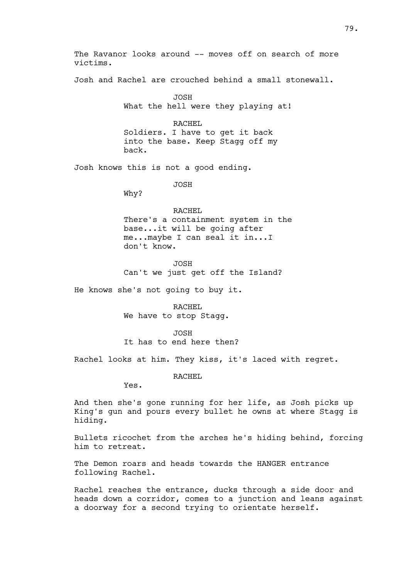The Ravanor looks around -- moves off on search of more victims.

Josh and Rachel are crouched behind a small stonewall.

JOSH What the hell were they playing at!

RACHEL Soldiers. I have to get it back into the base. Keep Stagg off my back.

Josh knows this is not a good ending.

JOSH

Why?

## RACHEL

There's a containment system in the base...it will be going after me...maybe I can seal it in...I don't know.

JOSH Can't we just get off the Island?

He knows she's not going to buy it.

RACHEL We have to stop Stagg.

JOSH

It has to end here then?

Rachel looks at him. They kiss, it's laced with regret.

RACHEL

Yes.

And then she's gone running for her life, as Josh picks up King's gun and pours every bullet he owns at where Stagg is hiding.

Bullets ricochet from the arches he's hiding behind, forcing him to retreat.

The Demon roars and heads towards the HANGER entrance following Rachel.

Rachel reaches the entrance, ducks through a side door and heads down a corridor, comes to a junction and leans against a doorway for a second trying to orientate herself.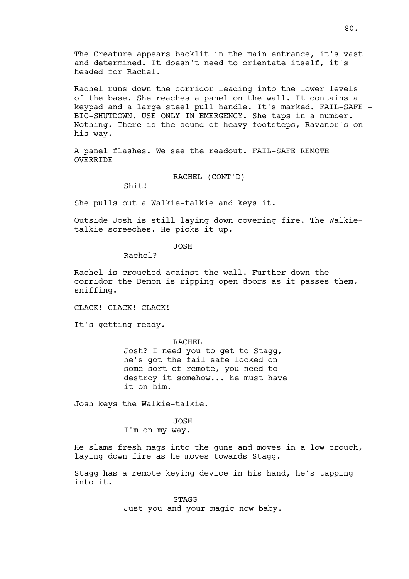The Creature appears backlit in the main entrance, it's vast and determined. It doesn't need to orientate itself, it's headed for Rachel.

Rachel runs down the corridor leading into the lower levels of the base. She reaches a panel on the wall. It contains a keypad and a large steel pull handle. It's marked. FAIL-SAFE - BIO-SHUTDOWN. USE ONLY IN EMERGENCY. She taps in a number. Nothing. There is the sound of heavy footsteps, Ravanor's on his way.

A panel flashes. We see the readout. FAIL-SAFE REMOTE OVERRIDE

RACHEL (CONT'D)

 $Shit!$ 

She pulls out a Walkie-talkie and keys it.

Outside Josh is still laying down covering fire. The Walkietalkie screeches. He picks it up.

JOSH

Rachel?

Rachel is crouched against the wall. Further down the corridor the Demon is ripping open doors as it passes them, sniffing.

CLACK! CLACK! CLACK!

It's getting ready.

RACHEL

Josh? I need you to get to Stagg, he's got the fail safe locked on some sort of remote, you need to destroy it somehow... he must have it on him.

Josh keys the Walkie-talkie.

JOSH

I'm on my way.

He slams fresh mags into the guns and moves in a low crouch, laying down fire as he moves towards Stagg.

Stagg has a remote keying device in his hand, he's tapping into it.

> STAGG Just you and your magic now baby.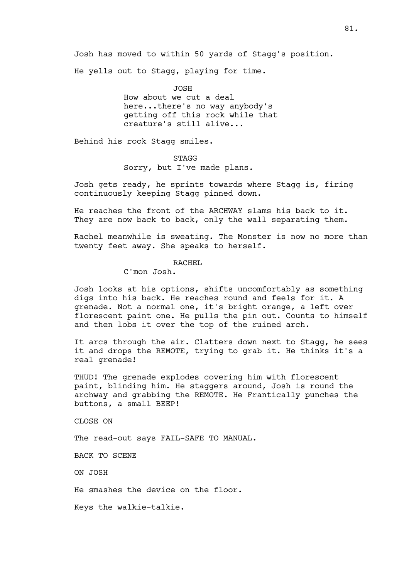Josh has moved to within 50 yards of Stagg's position.

He yells out to Stagg, playing for time.

JOSH How about we cut a deal here...there's no way anybody's getting off this rock while that creature's still alive...

Behind his rock Stagg smiles.

STAGG Sorry, but I've made plans.

Josh gets ready, he sprints towards where Stagg is, firing continuously keeping Stagg pinned down.

He reaches the front of the ARCHWAY slams his back to it. They are now back to back, only the wall separating them.

Rachel meanwhile is sweating. The Monster is now no more than twenty feet away. She speaks to herself.

## RACHEL

C'mon Josh.

Josh looks at his options, shifts uncomfortably as something digs into his back. He reaches round and feels for it. A grenade. Not a normal one, it's bright orange, a left over florescent paint one. He pulls the pin out. Counts to himself and then lobs it over the top of the ruined arch.

It arcs through the air. Clatters down next to Stagg, he sees it and drops the REMOTE, trying to grab it. He thinks it's a real grenade!

THUD! The grenade explodes covering him with florescent paint, blinding him. He staggers around, Josh is round the archway and grabbing the REMOTE. He Frantically punches the buttons, a small BEEP!

CLOSE ON

The read-out says FAIL-SAFE TO MANUAL.

BACK TO SCENE

ON JOSH

He smashes the device on the floor.

Keys the walkie-talkie.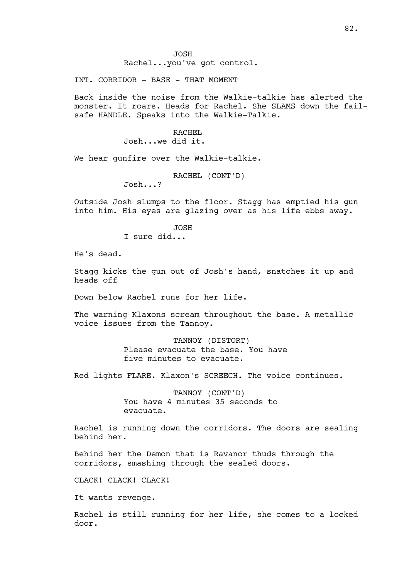Rachel...you've got control.

INT. CORRIDOR - BASE - THAT MOMENT

Back inside the noise from the Walkie-talkie has alerted the monster. It roars. Heads for Rachel. She SLAMS down the failsafe HANDLE. Speaks into the Walkie-Talkie.

> RACHEL Josh...we did it.

We hear gunfire over the Walkie-talkie.

RACHEL (CONT'D)

Josh...?

Outside Josh slumps to the floor. Stagg has emptied his gun into him. His eyes are glazing over as his life ebbs away.

JOSH

I sure did...

He's dead.

Stagg kicks the gun out of Josh's hand, snatches it up and heads off

Down below Rachel runs for her life.

The warning Klaxons scream throughout the base. A metallic voice issues from the Tannoy.

> TANNOY (DISTORT) Please evacuate the base. You have five minutes to evacuate.

Red lights FLARE. Klaxon's SCREECH. The voice continues.

TANNOY (CONT'D) You have 4 minutes 35 seconds to evacuate.

Rachel is running down the corridors. The doors are sealing behind her.

Behind her the Demon that is Ravanor thuds through the corridors, smashing through the sealed doors.

CLACK! CLACK! CLACK!

It wants revenge.

Rachel is still running for her life, she comes to a locked door.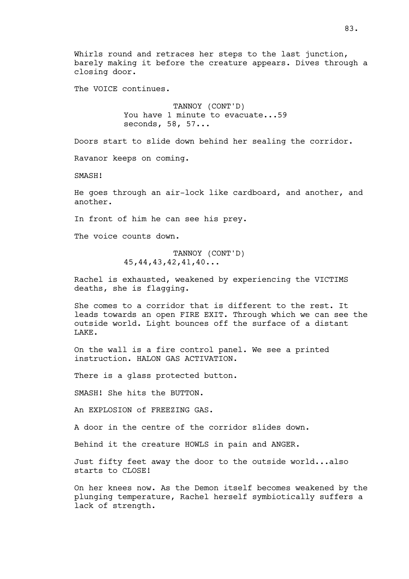Whirls round and retraces her steps to the last junction, barely making it before the creature appears. Dives through a closing door.

The VOICE continues.

TANNOY (CONT'D) You have 1 minute to evacuate...59 seconds, 58, 57...

Doors start to slide down behind her sealing the corridor.

Ravanor keeps on coming.

SMASH!

He goes through an air-lock like cardboard, and another, and another.

In front of him he can see his prey.

The voice counts down.

TANNOY (CONT'D) 45,44,43,42,41,40...

Rachel is exhausted, weakened by experiencing the VICTIMS deaths, she is flagging.

She comes to a corridor that is different to the rest. It leads towards an open FIRE EXIT. Through which we can see the outside world. Light bounces off the surface of a distant LAKE.

On the wall is a fire control panel. We see a printed instruction. HALON GAS ACTIVATION.

There is a glass protected button.

SMASH! She hits the BUTTON.

An EXPLOSION of FREEZING GAS.

A door in the centre of the corridor slides down.

Behind it the creature HOWLS in pain and ANGER.

Just fifty feet away the door to the outside world...also starts to CLOSE!

On her knees now. As the Demon itself becomes weakened by the plunging temperature, Rachel herself symbiotically suffers a lack of strength.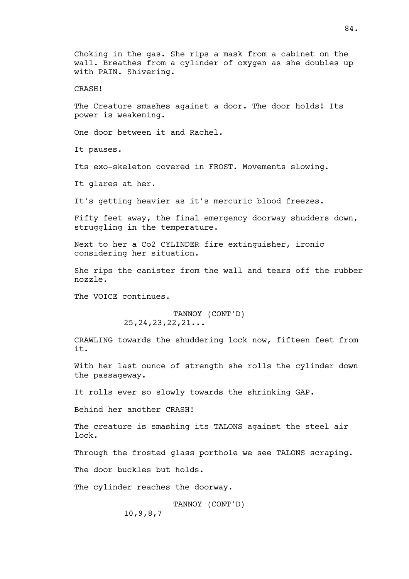Choking in the gas. She rips a mask from a cabinet on the wall. Breathes from a cylinder of oxygen as she doubles up with PAIN. Shivering.

CRASH!

The Creature smashes against a door. The door holds! Its power is weakening.

One door between it and Rachel.

It pauses.

Its exo-skeleton covered in FROST. Movements slowing.

It glares at her.

It's getting heavier as it's mercuric blood freezes.

Fifty feet away, the final emergency doorway shudders down, struggling in the temperature.

Next to her a Co2 CYLINDER fire extinguisher, ironic considering her situation.

She rips the canister from the wall and tears off the rubber nozzle.

The VOICE continues.

TANNOY (CONT'D) 25,24,23,22,21...

CRAWLING towards the shuddering lock now, fifteen feet from it.

With her last ounce of strength she rolls the cylinder down the passageway.

It rolls ever so slowly towards the shrinking GAP.

Behind her another CRASH!

The creature is smashing its TALONS against the steel air lock.

Through the frosted glass porthole we see TALONS scraping.

The door buckles but holds.

The cylinder reaches the doorway.

TANNOY (CONT'D) 10,9,8,7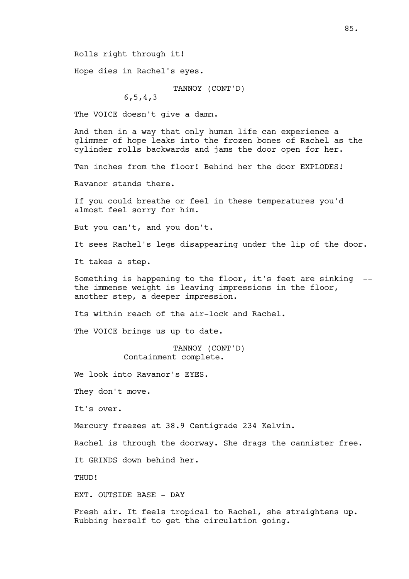Rolls right through it!

Hope dies in Rachel's eyes.

TANNOY (CONT'D) 6,5,4,3

The VOICE doesn't give a damn.

And then in a way that only human life can experience a glimmer of hope leaks into the frozen bones of Rachel as the cylinder rolls backwards and jams the door open for her. Ten inches from the floor! Behind her the door EXPLODES! Ravanor stands there. If you could breathe or feel in these temperatures you'd almost feel sorry for him. But you can't, and you don't. It sees Rachel's legs disappearing under the lip of the door. It takes a step. Something is happening to the floor, it's feet are sinking - the immense weight is leaving impressions in the floor, another step, a deeper impression. Its within reach of the air-lock and Rachel. The VOICE brings us up to date. TANNOY (CONT'D) Containment complete. We look into Ravanor's EYES. They don't move. It's over. Mercury freezes at 38.9 Centigrade 234 Kelvin. Rachel is through the doorway. She drags the cannister free.

It GRINDS down behind her.

THUD!

EXT. OUTSIDE BASE - DAY

Fresh air. It feels tropical to Rachel, she straightens up. Rubbing herself to get the circulation going.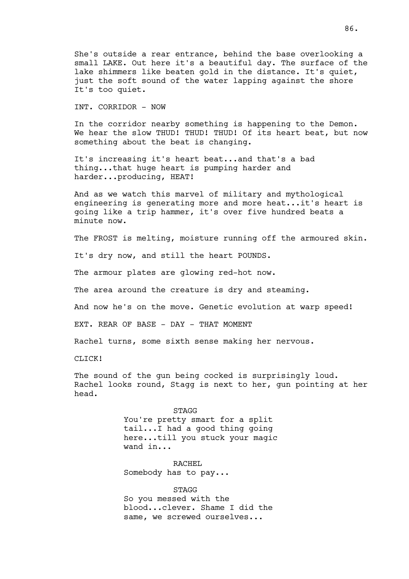She's outside a rear entrance, behind the base overlooking a small LAKE. Out here it's a beautiful day. The surface of the lake shimmers like beaten gold in the distance. It's quiet, just the soft sound of the water lapping against the shore It's too quiet.

INT. CORRIDOR - NOW

In the corridor nearby something is happening to the Demon. We hear the slow THUD! THUD! THUD! Of its heart beat, but now something about the beat is changing.

It's increasing it's heart beat...and that's a bad thing...that huge heart is pumping harder and harder...producing, HEAT!

And as we watch this marvel of military and mythological engineering is generating more and more heat...it's heart is going like a trip hammer, it's over five hundred beats a minute now.

The FROST is melting, moisture running off the armoured skin.

It's dry now, and still the heart POUNDS.

The armour plates are glowing red-hot now.

The area around the creature is dry and steaming.

And now he's on the move. Genetic evolution at warp speed!

EXT. REAR OF BASE - DAY - THAT MOMENT

Rachel turns, some sixth sense making her nervous.

CLICK!

The sound of the gun being cocked is surprisingly loud. Rachel looks round, Stagg is next to her, gun pointing at her head.

> STAGG You're pretty smart for a split tail...I had a good thing going here...till you stuck your magic wand in...

RACHEL Somebody has to pay...

STAGG So you messed with the blood...clever. Shame I did the same, we screwed ourselves...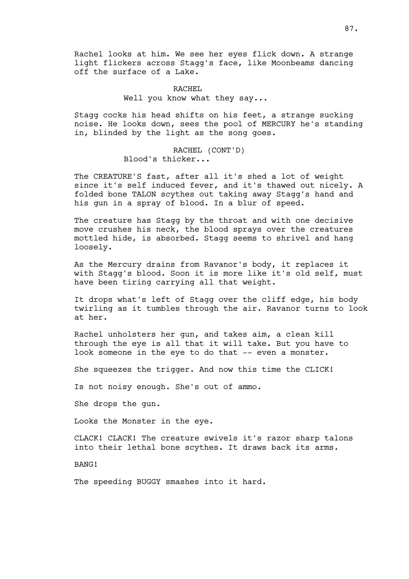Rachel looks at him. We see her eyes flick down. A strange light flickers across Stagg's face, like Moonbeams dancing off the surface of a Lake.

> RACHEL Well you know what they say...

Stagg cocks his head shifts on his feet, a strange sucking noise. He looks down, sees the pool of MERCURY he's standing in, blinded by the light as the song goes.

> RACHEL (CONT'D) Blood's thicker...

The CREATURE'S fast, after all it's shed a lot of weight since it's self induced fever, and it's thawed out nicely. A folded bone TALON scythes out taking away Stagg's hand and his gun in a spray of blood. In a blur of speed.

The creature has Stagg by the throat and with one decisive move crushes his neck, the blood sprays over the creatures mottled hide, is absorbed. Stagg seems to shrivel and hang loosely.

As the Mercury drains from Ravanor's body, it replaces it with Stagg's blood. Soon it is more like it's old self, must have been tiring carrying all that weight.

It drops what's left of Stagg over the cliff edge, his body twirling as it tumbles through the air. Ravanor turns to look at her.

Rachel unholsters her gun, and takes aim, a clean kill through the eye is all that it will take. But you have to look someone in the eye to do that -- even a monster.

She squeezes the trigger. And now this time the CLICK!

Is not noisy enough. She's out of ammo.

She drops the gun.

Looks the Monster in the eye.

CLACK! CLACK! The creature swivels it's razor sharp talons into their lethal bone scythes. It draws back its arms.

BANG!

The speeding BUGGY smashes into it hard.